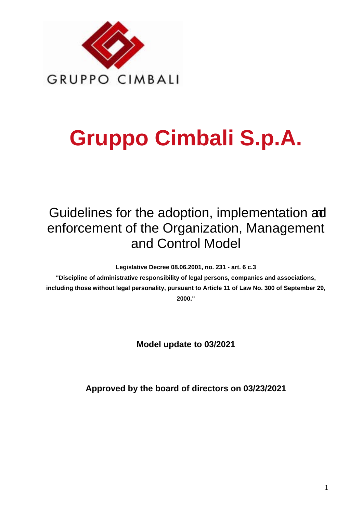

# **Gruppo Cimbali S.p.A.**

## Guidelines for the adoption, implementation and enforcement of the Organization, Management and Control Model

**Legislative Decree 08.06.2001, no. 231 - art. 6 c.3**

**"Discipline of administrative responsibility of legal persons, companies and associations, including those without legal personality, pursuant to Article 11 of Law No. 300 of September 29, 2000."**

**Model update to 03/2021**

**Approved by the board of directors on 03/23/2021**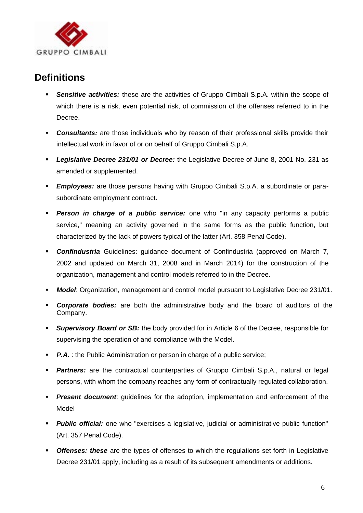

## **Definitions**

- Sensitive activities: these are the activities of Gruppo Cimbali S.p.A. within the scope of which there is a risk, even potential risk, of commission of the offenses referred to in the Decree.
- **Consultants:** are those individuals who by reason of their professional skills provide their intellectual work in favor of or on behalf of Gruppo Cimbali S.p.A.
- *Legislative Decree 231/01 or Decree:* the Legislative Decree of June 8, 2001 No. 231 as amended or supplemented.
- *Employees:* are those persons having with Gruppo Cimbali S.p.A. a subordinate or parasubordinate employment contract.
- **•** *Person in charge of a public service:* one who "in any capacity performs a public service," meaning an activity governed in the same forms as the public function, but characterized by the lack of powers typical of the latter (Art. 358 Penal Code).
- *Confindustria* Guidelines: guidance document of Confindustria (approved on March 7, 2002 and updated on March 31, 2008 and in March 2014) for the construction of the organization, management and control models referred to in the Decree.
- *Model*: Organization, management and control model pursuant to Legislative Decree 231/01.
- *Corporate bodies:* are both the administrative body and the board of auditors of the Company.
- **EXECT:** Supervisory Board or SB: the body provided for in Article 6 of the Decree, responsible for supervising the operation of and compliance with the Model.
- **P.A.** : the Public Administration or person in charge of a public service;
- **Partners:** are the contractual counterparties of Gruppo Cimbali S.p.A., natural or legal persons, with whom the company reaches any form of contractually regulated collaboration.
- **Present document**: guidelines for the adoption, implementation and enforcement of the Model
- *Public official:* one who "exercises a legislative, judicial or administrative public function" (Art. 357 Penal Code).
- *Offenses: these* are the types of offenses to which the regulations set forth in Legislative Decree 231/01 apply, including as a result of its subsequent amendments or additions.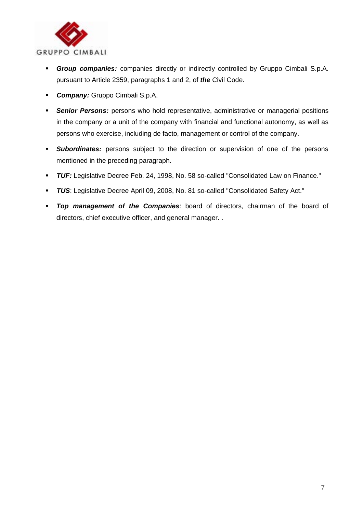

- *Group companies:* companies directly or indirectly controlled by Gruppo Cimbali S.p.A. pursuant to Article 2359, paragraphs 1 and 2, of *the* Civil Code.
- *Company:* Gruppo Cimbali S.p.A.
- **EXECT Senior Persons:** persons who hold representative, administrative or managerial positions in the company or a unit of the company with financial and functional autonomy, as well as persons who exercise, including de facto, management or control of the company.
- **EXEL Subordinates:** persons subject to the direction or supervision of one of the persons mentioned in the preceding paragraph.
- *TUF:* Legislative Decree Feb. 24, 1998, No. 58 so-called "Consolidated Law on Finance."
- *TUS*: Legislative Decree April 09, 2008, No. 81 so-called "Consolidated Safety Act."
- *Top management of the Companies*: board of directors, chairman of the board of directors, chief executive officer, and general manager. .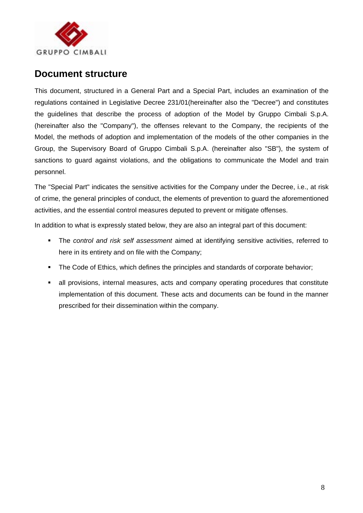

## **Document structure**

This document, structured in a General Part and a Special Part, includes an examination of the regulations contained in Legislative Decree 231/01(hereinafter also the "Decree") and constitutes the guidelines that describe the process of adoption of the Model by Gruppo Cimbali S.p.A. (hereinafter also the "Company"), the offenses relevant to the Company, the recipients of the Model, the methods of adoption and implementation of the models of the other companies in the Group, the Supervisory Board of Gruppo Cimbali S.p.A. (hereinafter also "SB"), the system of sanctions to guard against violations, and the obligations to communicate the Model and train personnel.

The "Special Part" indicates the sensitive activities for the Company under the Decree, i.e., at risk of crime, the general principles of conduct, the elements of prevention to guard the aforementioned activities, and the essential control measures deputed to prevent or mitigate offenses.

In addition to what is expressly stated below, they are also an integral part of this document:

- The *control and risk self assessment* aimed at identifying sensitive activities, referred to here in its entirety and on file with the Company;
- The Code of Ethics, which defines the principles and standards of corporate behavior;
- all provisions, internal measures, acts and company operating procedures that constitute implementation of this document. These acts and documents can be found in the manner prescribed for their dissemination within the company.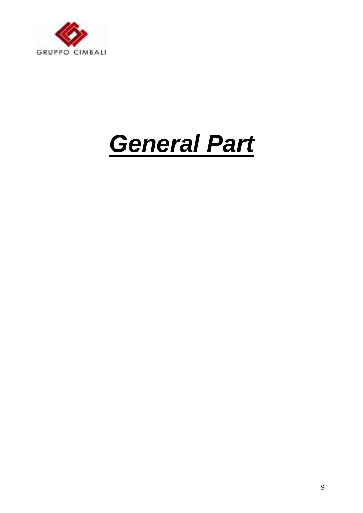

## *General Part*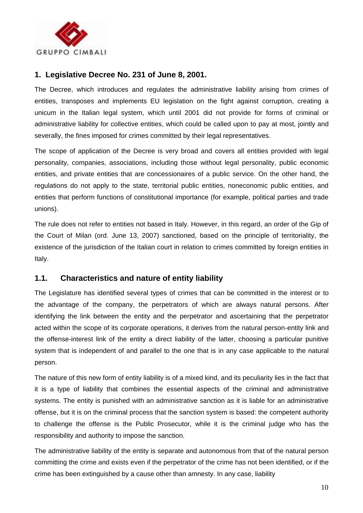

#### **1. Legislative Decree No. 231 of June 8, 2001.**

The Decree, which introduces and regulates the administrative liability arising from crimes of entities, transposes and implements EU legislation on the fight against corruption, creating a unicum in the Italian legal system, which until 2001 did not provide for forms of criminal or administrative liability for collective entities, which could be called upon to pay at most, jointly and severally, the fines imposed for crimes committed by their legal representatives.

The scope of application of the Decree is very broad and covers all entities provided with legal personality, companies, associations, including those without legal personality, public economic entities, and private entities that are concessionaires of a public service. On the other hand, the regulations do not apply to the state, territorial public entities, noneconomic public entities, and entities that perform functions of constitutional importance (for example, political parties and trade unions).

The rule does not refer to entities not based in Italy. However, in this regard, an order of the Gip of the Court of Milan (ord. June 13, 2007) sanctioned, based on the principle of territoriality, the existence of the jurisdiction of the Italian court in relation to crimes committed by foreign entities in Italy.

#### **1.1. Characteristics and nature of entity liability**

The Legislature has identified several types of crimes that can be committed in the interest or to the advantage of the company, the perpetrators of which are always natural persons. After identifying the link between the entity and the perpetrator and ascertaining that the perpetrator acted within the scope of its corporate operations, it derives from the natural person-entity link and the offense-interest link of the entity a direct liability of the latter, choosing a particular punitive system that is independent of and parallel to the one that is in any case applicable to the natural person.

The nature of this new form of entity liability is of a mixed kind, and its peculiarity lies in the fact that it is a type of liability that combines the essential aspects of the criminal and administrative systems. The entity is punished with an administrative sanction as it is liable for an administrative offense, but it is on the criminal process that the sanction system is based: the competent authority to challenge the offense is the Public Prosecutor, while it is the criminal judge who has the responsibility and authority to impose the sanction.

The administrative liability of the entity is separate and autonomous from that of the natural person committing the crime and exists even if the perpetrator of the crime has not been identified, or if the crime has been extinguished by a cause other than amnesty. In any case, liability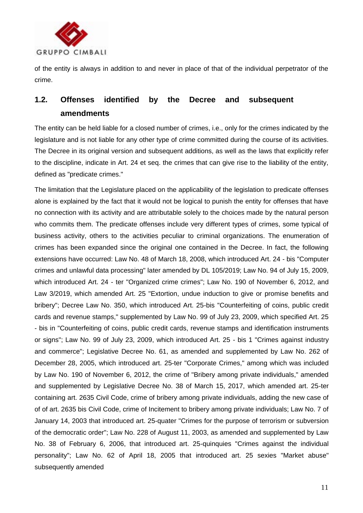

of the entity is always in addition to and never in place of that of the individual perpetrator of the crime.

## **1.2. Offenses identified by the Decree and subsequent amendments**

The entity can be held liable for a closed number of crimes, i.e., only for the crimes indicated by the legislature and is not liable for any other type of crime committed during the course of its activities. The Decree in its original version and subsequent additions, as well as the laws that explicitly refer to the discipline, indicate in Art. 24 et seq. the crimes that can give rise to the liability of the entity, defined as "predicate crimes."

The limitation that the Legislature placed on the applicability of the legislation to predicate offenses alone is explained by the fact that it would not be logical to punish the entity for offenses that have no connection with its activity and are attributable solely to the choices made by the natural person who commits them. The predicate offenses include very different types of crimes, some typical of business activity, others to the activities peculiar to criminal organizations. The enumeration of crimes has been expanded since the original one contained in the Decree. In fact, the following extensions have occurred: Law No. 48 of March 18, 2008, which introduced Art. 24 - bis "Computer crimes and unlawful data processing" later amended by DL 105/2019; Law No. 94 of July 15, 2009, which introduced Art. 24 - ter "Organized crime crimes"; Law No. 190 of November 6, 2012, and Law 3/2019, which amended Art. 25 "Extortion, undue induction to give or promise benefits and bribery"; Decree Law No. 350, which introduced Art. 25-bis "Counterfeiting of coins, public credit cards and revenue stamps," supplemented by Law No. 99 of July 23, 2009, which specified Art. 25 - bis in "Counterfeiting of coins, public credit cards, revenue stamps and identification instruments or signs"; Law No. 99 of July 23, 2009, which introduced Art. 25 - bis 1 "Crimes against industry and commerce"; Legislative Decree No. 61, as amended and supplemented by Law No. 262 of December 28, 2005, which introduced art. 25-ter "Corporate Crimes," among which was included by Law No. 190 of November 6, 2012, the crime of "Bribery among private individuals," amended and supplemented by Legislative Decree No. 38 of March 15, 2017, which amended art. 25-ter containing art. 2635 Civil Code, crime of bribery among private individuals, adding the new case of of of art. 2635 bis Civil Code, crime of Incitement to bribery among private individuals; Law No. 7 of January 14, 2003 that introduced art. 25-quater "Crimes for the purpose of terrorism or subversion of the democratic order"; Law No. 228 of August 11, 2003, as amended and supplemented by Law No. 38 of February 6, 2006, that introduced art. 25-quinquies "Crimes against the individual personality"; Law No. 62 of April 18, 2005 that introduced art. 25 sexies "Market abuse" subsequently amended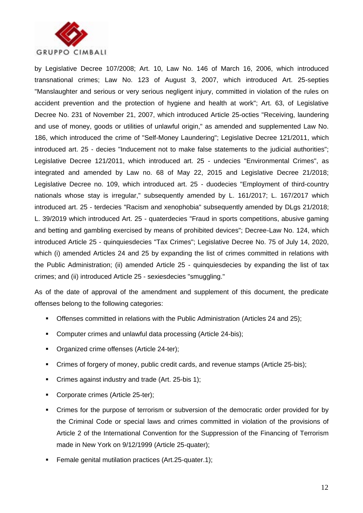

by Legislative Decree 107/2008; Art. 10, Law No. 146 of March 16, 2006, which introduced transnational crimes; Law No. 123 of August 3, 2007, which introduced Art. 25-septies "Manslaughter and serious or very serious negligent injury, committed in violation of the rules on accident prevention and the protection of hygiene and health at work"; Art. 63, of Legislative Decree No. 231 of November 21, 2007, which introduced Article 25-octies "Receiving, laundering and use of money, goods or utilities of unlawful origin," as amended and supplemented Law No. 186, which introduced the crime of "Self-Money Laundering"; Legislative Decree 121/2011, which introduced art. 25 - decies "Inducement not to make false statements to the judicial authorities"; Legislative Decree 121/2011, which introduced art. 25 - undecies "Environmental Crimes", as integrated and amended by Law no. 68 of May 22, 2015 and Legislative Decree 21/2018; Legislative Decree no. 109, which introduced art. 25 - duodecies "Employment of third-country nationals whose stay is irregular," subsequently amended by L. 161/2017; L. 167/2017 which introduced art. 25 - terdecies "Racism and xenophobia" subsequently amended by DLgs 21/2018; L. 39/2019 which introduced Art. 25 - quaterdecies "Fraud in sports competitions, abusive gaming and betting and gambling exercised by means of prohibited devices"; Decree-Law No. 124, which introduced Article 25 - quinquiesdecies "Tax Crimes"; Legislative Decree No. 75 of July 14, 2020, which (i) amended Articles 24 and 25 by expanding the list of crimes committed in relations with the Public Administration; (ii) amended Article 25 - quinquiesdecies by expanding the list of tax crimes; and (ii) introduced Article 25 - sexiesdecies "smuggling."

As of the date of approval of the amendment and supplement of this document, the predicate offenses belong to the following categories:

- **•** Offenses committed in relations with the Public Administration (Articles 24 and 25);
- **Computer crimes and unlawful data processing (Article 24-bis);**
- **•** Organized crime offenses (Article 24-ter);
- Crimes of forgery of money, public credit cards, and revenue stamps (Article 25-bis);
- **Crimes against industry and trade (Art. 25-bis 1);**
- Corporate crimes (Article 25-ter);
- Crimes for the purpose of terrorism or subversion of the democratic order provided for by the Criminal Code or special laws and crimes committed in violation of the provisions of Article 2 of the International Convention for the Suppression of the Financing of Terrorism made in New York on 9/12/1999 (Article 25-quater);
- **Female genital mutilation practices (Art.25-quater.1);**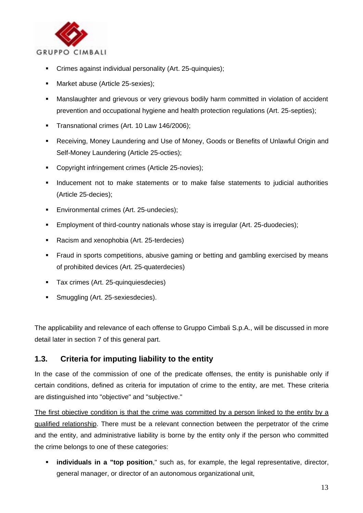

- Crimes against individual personality (Art. 25-quinquies);
- Market abuse (Article 25-sexies);
- **■** Manslaughter and grievous or very grievous bodily harm committed in violation of accident prevention and occupational hygiene and health protection regulations (Art. 25-septies);
- Transnational crimes (Art. 10 Law 146/2006);
- Receiving, Money Laundering and Use of Money, Goods or Benefits of Unlawful Origin and Self-Money Laundering (Article 25-octies);
- Copyright infringement crimes (Article 25-novies);
- Inducement not to make statements or to make false statements to judicial authorities (Article 25-decies);
- **Environmental crimes (Art. 25-undecies);**
- **Employment of third-country nationals whose stay is irregular (Art. 25-duodecies);**
- Racism and xenophobia (Art. 25-terdecies)
- **•** Fraud in sports competitions, abusive gaming or betting and gambling exercised by means of prohibited devices (Art. 25-quaterdecies)
- Tax crimes (Art. 25-quinquiesdecies)
- **Smuggling (Art. 25-sexiesdecies).**

The applicability and relevance of each offense to Gruppo Cimbali S.p.A., will be discussed in more detail later in section 7 of this general part.

#### **1.3. Criteria for imputing liability to the entity**

In the case of the commission of one of the predicate offenses, the entity is punishable only if certain conditions, defined as criteria for imputation of crime to the entity, are met. These criteria are distinguished into "objective" and "subjective."

The first objective condition is that the crime was committed by a person linked to the entity by a qualified relationship. There must be a relevant connection between the perpetrator of the crime and the entity, and administrative liability is borne by the entity only if the person who committed the crime belongs to one of these categories:

▪ **individuals in a "top position**," such as, for example, the legal representative, director, general manager, or director of an autonomous organizational unit,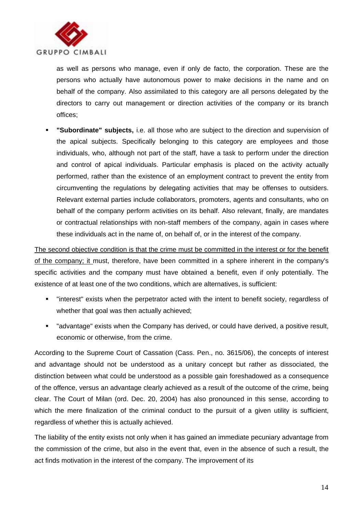

as well as persons who manage, even if only de facto, the corporation. These are the persons who actually have autonomous power to make decisions in the name and on behalf of the company. Also assimilated to this category are all persons delegated by the directors to carry out management or direction activities of the company or its branch offices;

▪ **"Subordinate" subjects,** i.e. all those who are subject to the direction and supervision of the apical subjects. Specifically belonging to this category are employees and those individuals, who, although not part of the staff, have a task to perform under the direction and control of apical individuals. Particular emphasis is placed on the activity actually performed, rather than the existence of an employment contract to prevent the entity from circumventing the regulations by delegating activities that may be offenses to outsiders. Relevant external parties include collaborators, promoters, agents and consultants, who on behalf of the company perform activities on its behalf. Also relevant, finally, are mandates or contractual relationships with non-staff members of the company, again in cases where these individuals act in the name of, on behalf of, or in the interest of the company.

The second objective condition is that the crime must be committed in the interest or for the benefit of the company; it must, therefore, have been committed in a sphere inherent in the company's specific activities and the company must have obtained a benefit, even if only potentially. The existence of at least one of the two conditions, which are alternatives, is sufficient:

- "interest" exists when the perpetrator acted with the intent to benefit society, regardless of whether that goal was then actually achieved:
- "advantage" exists when the Company has derived, or could have derived, a positive result, economic or otherwise, from the crime.

According to the Supreme Court of Cassation (Cass. Pen., no. 3615/06), the concepts of interest and advantage should not be understood as a unitary concept but rather as dissociated, the distinction between what could be understood as a possible gain foreshadowed as a consequence of the offence, versus an advantage clearly achieved as a result of the outcome of the crime, being clear. The Court of Milan (ord. Dec. 20, 2004) has also pronounced in this sense, according to which the mere finalization of the criminal conduct to the pursuit of a given utility is sufficient, regardless of whether this is actually achieved.

The liability of the entity exists not only when it has gained an immediate pecuniary advantage from the commission of the crime, but also in the event that, even in the absence of such a result, the act finds motivation in the interest of the company. The improvement of its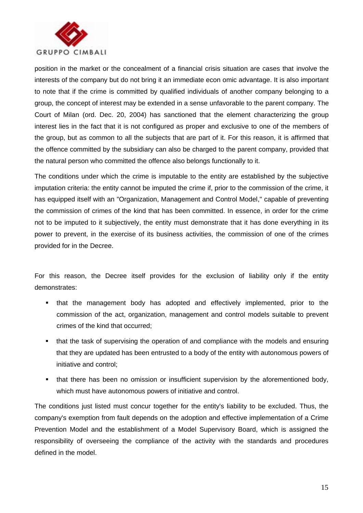

position in the market or the concealment of a financial crisis situation are cases that involve the interests of the company but do not bring it an immediate econ omic advantage. It is also important to note that if the crime is committed by qualified individuals of another company belonging to a group, the concept of interest may be extended in a sense unfavorable to the parent company. The Court of Milan (ord. Dec. 20, 2004) has sanctioned that the element characterizing the group interest lies in the fact that it is not configured as proper and exclusive to one of the members of the group, but as common to all the subjects that are part of it. For this reason, it is affirmed that the offence committed by the subsidiary can also be charged to the parent company, provided that the natural person who committed the offence also belongs functionally to it.

The conditions under which the crime is imputable to the entity are established by the subjective imputation criteria: the entity cannot be imputed the crime if, prior to the commission of the crime, it has equipped itself with an "Organization, Management and Control Model," capable of preventing the commission of crimes of the kind that has been committed. In essence, in order for the crime not to be imputed to it subjectively, the entity must demonstrate that it has done everything in its power to prevent, in the exercise of its business activities, the commission of one of the crimes provided for in the Decree.

For this reason, the Decree itself provides for the exclusion of liability only if the entity demonstrates:

- that the management body has adopted and effectively implemented, prior to the commission of the act, organization, management and control models suitable to prevent crimes of the kind that occurred;
- that the task of supervising the operation of and compliance with the models and ensuring that they are updated has been entrusted to a body of the entity with autonomous powers of initiative and control;
- **•** that there has been no omission or insufficient supervision by the aforementioned body, which must have autonomous powers of initiative and control.

The conditions just listed must concur together for the entity's liability to be excluded. Thus, the company's exemption from fault depends on the adoption and effective implementation of a Crime Prevention Model and the establishment of a Model Supervisory Board, which is assigned the responsibility of overseeing the compliance of the activity with the standards and procedures defined in the model.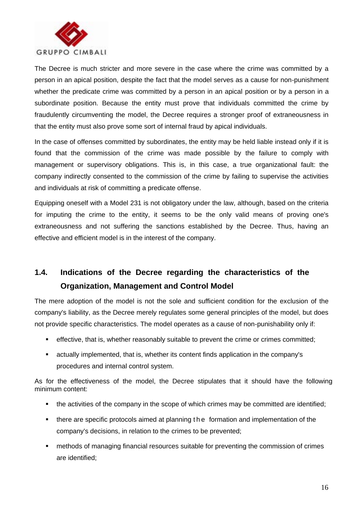

The Decree is much stricter and more severe in the case where the crime was committed by a person in an apical position, despite the fact that the model serves as a cause for non-punishment whether the predicate crime was committed by a person in an apical position or by a person in a subordinate position. Because the entity must prove that individuals committed the crime by fraudulently circumventing the model, the Decree requires a stronger proof of extraneousness in that the entity must also prove some sort of internal fraud by apical individuals.

In the case of offenses committed by subordinates, the entity may be held liable instead only if it is found that the commission of the crime was made possible by the failure to comply with management or supervisory obligations. This is, in this case, a true organizational fault: the company indirectly consented to the commission of the crime by failing to supervise the activities and individuals at risk of committing a predicate offense.

Equipping oneself with a Model 231 is not obligatory under the law, although, based on the criteria for imputing the crime to the entity, it seems to be the only valid means of proving one's extraneousness and not suffering the sanctions established by the Decree. Thus, having an effective and efficient model is in the interest of the company.

## **1.4. Indications of the Decree regarding the characteristics of the Organization, Management and Control Model**

The mere adoption of the model is not the sole and sufficient condition for the exclusion of the company's liability, as the Decree merely regulates some general principles of the model, but does not provide specific characteristics. The model operates as a cause of non-punishability only if:

- **EXECT** effective, that is, whether reasonably suitable to prevent the crime or crimes committed;
- actually implemented, that is, whether its content finds application in the company's procedures and internal control system.

As for the effectiveness of the model, the Decree stipulates that it should have the following minimum content:

- the activities of the company in the scope of which crimes may be committed are identified;
- there are specific protocols aimed at planning the formation and implementation of the company's decisions, in relation to the crimes to be prevented;
- methods of managing financial resources suitable for preventing the commission of crimes are identified;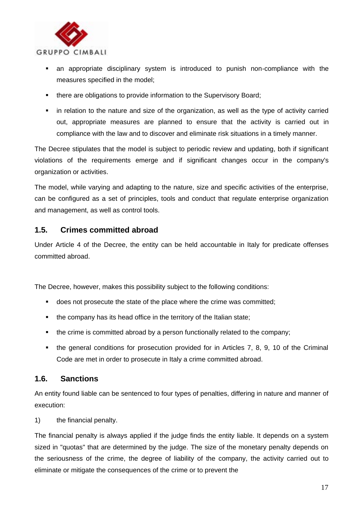

- **■** an appropriate disciplinary system is introduced to punish non-compliance with the measures specified in the model;
- there are obligations to provide information to the Supervisory Board;
- in relation to the nature and size of the organization, as well as the type of activity carried out, appropriate measures are planned to ensure that the activity is carried out in compliance with the law and to discover and eliminate risk situations in a timely manner.

The Decree stipulates that the model is subject to periodic review and updating, both if significant violations of the requirements emerge and if significant changes occur in the company's organization or activities.

The model, while varying and adapting to the nature, size and specific activities of the enterprise, can be configured as a set of principles, tools and conduct that regulate enterprise organization and management, as well as control tools.

#### **1.5. Crimes committed abroad**

Under Article 4 of the Decree, the entity can be held accountable in Italy for predicate offenses committed abroad.

The Decree, however, makes this possibility subject to the following conditions:

- does not prosecute the state of the place where the crime was committed;
- the company has its head office in the territory of the Italian state:
- the crime is committed abroad by a person functionally related to the company;
- the general conditions for prosecution provided for in Articles 7, 8, 9, 10 of the Criminal Code are met in order to prosecute in Italy a crime committed abroad.

#### **1.6. Sanctions**

An entity found liable can be sentenced to four types of penalties, differing in nature and manner of execution:

1) the financial penalty.

The financial penalty is always applied if the judge finds the entity liable. It depends on a system sized in "quotas" that are determined by the judge. The size of the monetary penalty depends on the seriousness of the crime, the degree of liability of the company, the activity carried out to eliminate or mitigate the consequences of the crime or to prevent the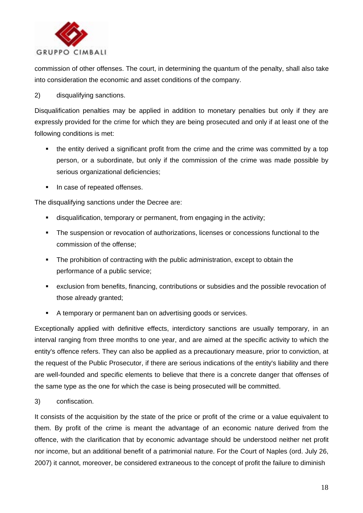

commission of other offenses. The court, in determining the quantum of the penalty, shall also take into consideration the economic and asset conditions of the company.

2) disqualifying sanctions.

Disqualification penalties may be applied in addition to monetary penalties but only if they are expressly provided for the crime for which they are being prosecuted and only if at least one of the following conditions is met:

- the entity derived a significant profit from the crime and the crime was committed by a top person, or a subordinate, but only if the commission of the crime was made possible by serious organizational deficiencies:
- **·** In case of repeated offenses.

The disqualifying sanctions under the Decree are:

- disqualification, temporary or permanent, from engaging in the activity;
- **•** The suspension or revocation of authorizations, licenses or concessions functional to the commission of the offense;
- The prohibition of contracting with the public administration, except to obtain the performance of a public service;
- exclusion from benefits, financing, contributions or subsidies and the possible revocation of those already granted;
- A temporary or permanent ban on advertising goods or services.

Exceptionally applied with definitive effects, interdictory sanctions are usually temporary, in an interval ranging from three months to one year, and are aimed at the specific activity to which the entity's offence refers. They can also be applied as a precautionary measure, prior to conviction, at the request of the Public Prosecutor, if there are serious indications of the entity's liability and there are well-founded and specific elements to believe that there is a concrete danger that offenses of the same type as the one for which the case is being prosecuted will be committed.

3) confiscation.

It consists of the acquisition by the state of the price or profit of the crime or a value equivalent to them. By profit of the crime is meant the advantage of an economic nature derived from the offence, with the clarification that by economic advantage should be understood neither net profit nor income, but an additional benefit of a patrimonial nature. For the Court of Naples (ord. July 26, 2007) it cannot, moreover, be considered extraneous to the concept of profit the failure to diminish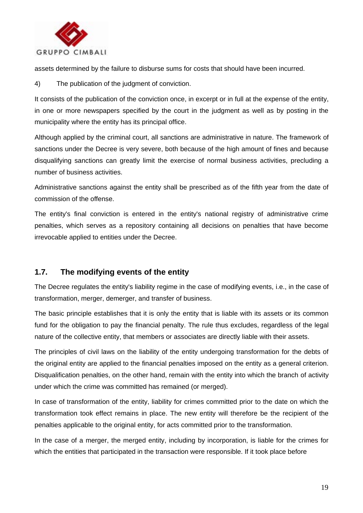

assets determined by the failure to disburse sums for costs that should have been incurred.

4) The publication of the judgment of conviction.

It consists of the publication of the conviction once, in excerpt or in full at the expense of the entity, in one or more newspapers specified by the court in the judgment as well as by posting in the municipality where the entity has its principal office.

Although applied by the criminal court, all sanctions are administrative in nature. The framework of sanctions under the Decree is very severe, both because of the high amount of fines and because disqualifying sanctions can greatly limit the exercise of normal business activities, precluding a number of business activities.

Administrative sanctions against the entity shall be prescribed as of the fifth year from the date of commission of the offense.

The entity's final conviction is entered in the entity's national registry of administrative crime penalties, which serves as a repository containing all decisions on penalties that have become irrevocable applied to entities under the Decree.

#### **1.7. The modifying events of the entity**

The Decree regulates the entity's liability regime in the case of modifying events, i.e., in the case of transformation, merger, demerger, and transfer of business.

The basic principle establishes that it is only the entity that is liable with its assets or its common fund for the obligation to pay the financial penalty. The rule thus excludes, regardless of the legal nature of the collective entity, that members or associates are directly liable with their assets.

The principles of civil laws on the liability of the entity undergoing transformation for the debts of the original entity are applied to the financial penalties imposed on the entity as a general criterion. Disqualification penalties, on the other hand, remain with the entity into which the branch of activity under which the crime was committed has remained (or merged).

In case of transformation of the entity, liability for crimes committed prior to the date on which the transformation took effect remains in place. The new entity will therefore be the recipient of the penalties applicable to the original entity, for acts committed prior to the transformation.

In the case of a merger, the merged entity, including by incorporation, is liable for the crimes for which the entities that participated in the transaction were responsible. If it took place before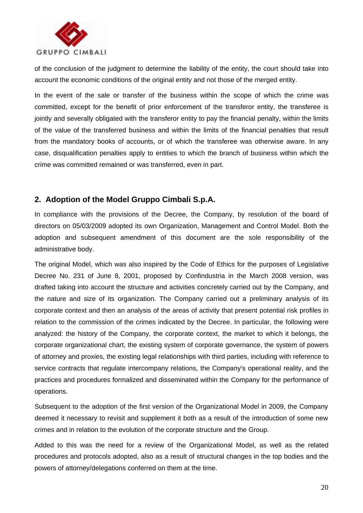

of the conclusion of the judgment to determine the liability of the entity, the court should take into account the economic conditions of the original entity and not those of the merged entity.

In the event of the sale or transfer of the business within the scope of which the crime was committed, except for the benefit of prior enforcement of the transferor entity, the transferee is jointly and severally obligated with the transferor entity to pay the financial penalty, within the limits of the value of the transferred business and within the limits of the financial penalties that result from the mandatory books of accounts, or of which the transferee was otherwise aware. In any case, disqualification penalties apply to entities to which the branch of business within which the crime was committed remained or was transferred, even in part.

#### **2. Adoption of the Model Gruppo Cimbali S.p.A.**

In compliance with the provisions of the Decree, the Company, by resolution of the board of directors on 05/03/2009 adopted its own Organization, Management and Control Model. Both the adoption and subsequent amendment of this document are the sole responsibility of the administrative body.

The original Model, which was also inspired by the Code of Ethics for the purposes of Legislative Decree No. 231 of June 8, 2001, proposed by Confindustria in the March 2008 version, was drafted taking into account the structure and activities concretely carried out by the Company, and the nature and size of its organization. The Company carried out a preliminary analysis of its corporate context and then an analysis of the areas of activity that present potential risk profiles in relation to the commission of the crimes indicated by the Decree. In particular, the following were analyzed: the history of the Company, the corporate context, the market to which it belongs, the corporate organizational chart, the existing system of corporate governance, the system of powers of attorney and proxies, the existing legal relationships with third parties, including with reference to service contracts that regulate intercompany relations, the Company's operational reality, and the practices and procedures formalized and disseminated within the Company for the performance of operations.

Subsequent to the adoption of the first version of the Organizational Model in 2009, the Company deemed it necessary to revisit and supplement it both as a result of the introduction of some new crimes and in relation to the evolution of the corporate structure and the Group.

Added to this was the need for a review of the Organizational Model, as well as the related procedures and protocols adopted, also as a result of structural changes in the top bodies and the powers of attorney/delegations conferred on them at the time.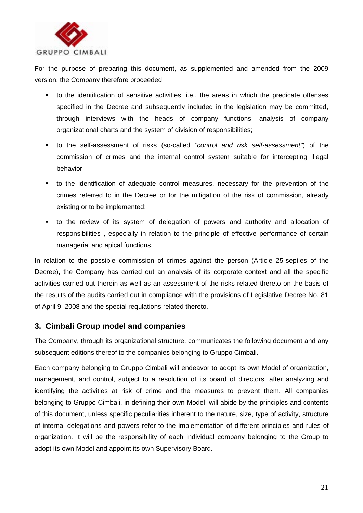

For the purpose of preparing this document, as supplemented and amended from the 2009 version, the Company therefore proceeded:

- to the identification of sensitive activities, i.e., the areas in which the predicate offenses specified in the Decree and subsequently included in the legislation may be committed, through interviews with the heads of company functions, analysis of company organizational charts and the system of division of responsibilities;
- to the self-assessment of risks (so-called *"control and risk self-assessment"*) of the commission of crimes and the internal control system suitable for intercepting illegal behavior;
- to the identification of adequate control measures, necessary for the prevention of the crimes referred to in the Decree or for the mitigation of the risk of commission, already existing or to be implemented;
- **•** to the review of its system of delegation of powers and authority and allocation of responsibilities , especially in relation to the principle of effective performance of certain managerial and apical functions.

In relation to the possible commission of crimes against the person (Article 25-septies of the Decree), the Company has carried out an analysis of its corporate context and all the specific activities carried out therein as well as an assessment of the risks related thereto on the basis of the results of the audits carried out in compliance with the provisions of Legislative Decree No. 81 of April 9, 2008 and the special regulations related thereto.

#### **3. Cimbali Group model and companies**

The Company, through its organizational structure, communicates the following document and any subsequent editions thereof to the companies belonging to Gruppo Cimbali.

Each company belonging to Gruppo Cimbali will endeavor to adopt its own Model of organization, management, and control, subject to a resolution of its board of directors, after analyzing and identifying the activities at risk of crime and the measures to prevent them. All companies belonging to Gruppo Cimbali, in defining their own Model, will abide by the principles and contents of this document, unless specific peculiarities inherent to the nature, size, type of activity, structure of internal delegations and powers refer to the implementation of different principles and rules of organization. It will be the responsibility of each individual company belonging to the Group to adopt its own Model and appoint its own Supervisory Board.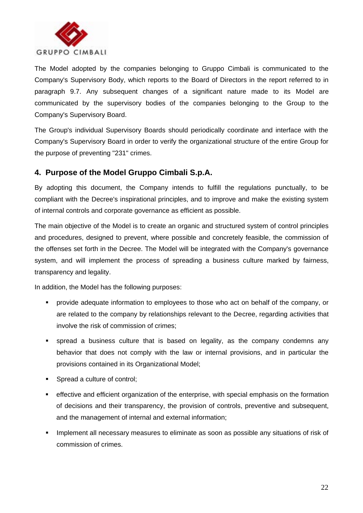

The Model adopted by the companies belonging to Gruppo Cimbali is communicated to the Company's Supervisory Body, which reports to the Board of Directors in the report referred to in paragraph 9.7. Any subsequent changes of a significant nature made to its Model are communicated by the supervisory bodies of the companies belonging to the Group to the Company's Supervisory Board.

The Group's individual Supervisory Boards should periodically coordinate and interface with the Company's Supervisory Board in order to verify the organizational structure of the entire Group for the purpose of preventing "231" crimes.

#### **4. Purpose of the Model Gruppo Cimbali S.p.A.**

By adopting this document, the Company intends to fulfill the regulations punctually, to be compliant with the Decree's inspirational principles, and to improve and make the existing system of internal controls and corporate governance as efficient as possible.

The main objective of the Model is to create an organic and structured system of control principles and procedures, designed to prevent, where possible and concretely feasible, the commission of the offenses set forth in the Decree. The Model will be integrated with the Company's governance system, and will implement the process of spreading a business culture marked by fairness, transparency and legality.

In addition, the Model has the following purposes:

- provide adequate information to employees to those who act on behalf of the company, or are related to the company by relationships relevant to the Decree, regarding activities that involve the risk of commission of crimes;
- spread a business culture that is based on legality, as the company condemns any behavior that does not comply with the law or internal provisions, and in particular the provisions contained in its Organizational Model;
- Spread a culture of control:
- **•** effective and efficient organization of the enterprise, with special emphasis on the formation of decisions and their transparency, the provision of controls, preventive and subsequent, and the management of internal and external information;
- Implement all necessary measures to eliminate as soon as possible any situations of risk of commission of crimes.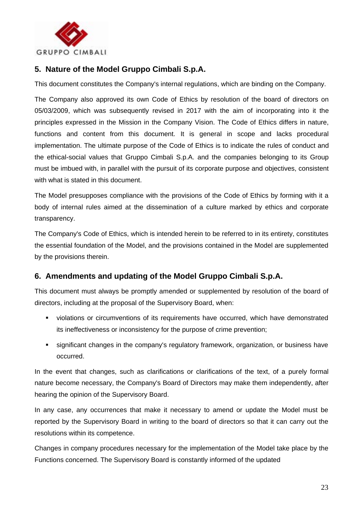

#### **5. Nature of the Model Gruppo Cimbali S.p.A.**

This document constitutes the Company's internal regulations, which are binding on the Company.

The Company also approved its own Code of Ethics by resolution of the board of directors on 05/03/2009, which was subsequently revised in 2017 with the aim of incorporating into it the principles expressed in the Mission in the Company Vision. The Code of Ethics differs in nature, functions and content from this document. It is general in scope and lacks procedural implementation. The ultimate purpose of the Code of Ethics is to indicate the rules of conduct and the ethical-social values that Gruppo Cimbali S.p.A. and the companies belonging to its Group must be imbued with, in parallel with the pursuit of its corporate purpose and objectives, consistent with what is stated in this document.

The Model presupposes compliance with the provisions of the Code of Ethics by forming with it a body of internal rules aimed at the dissemination of a culture marked by ethics and corporate transparency.

The Company's Code of Ethics, which is intended herein to be referred to in its entirety, constitutes the essential foundation of the Model, and the provisions contained in the Model are supplemented by the provisions therein.

#### **6. Amendments and updating of the Model Gruppo Cimbali S.p.A.**

This document must always be promptly amended or supplemented by resolution of the board of directors, including at the proposal of the Supervisory Board, when:

- violations or circumventions of its requirements have occurred, which have demonstrated its ineffectiveness or inconsistency for the purpose of crime prevention;
- significant changes in the company's regulatory framework, organization, or business have occurred.

In the event that changes, such as clarifications or clarifications of the text, of a purely formal nature become necessary, the Company's Board of Directors may make them independently, after hearing the opinion of the Supervisory Board.

In any case, any occurrences that make it necessary to amend or update the Model must be reported by the Supervisory Board in writing to the board of directors so that it can carry out the resolutions within its competence.

Changes in company procedures necessary for the implementation of the Model take place by the Functions concerned. The Supervisory Board is constantly informed of the updated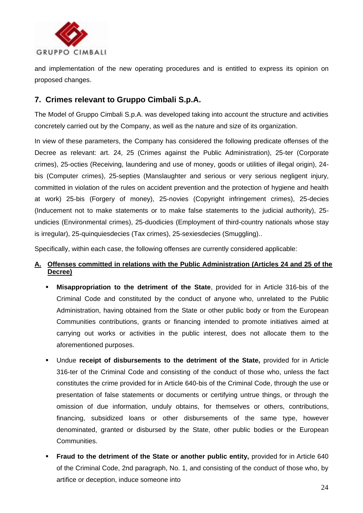

and implementation of the new operating procedures and is entitled to express its opinion on proposed changes.

#### **7. Crimes relevant to Gruppo Cimbali S.p.A.**

The Model of Gruppo Cimbali S.p.A. was developed taking into account the structure and activities concretely carried out by the Company, as well as the nature and size of its organization.

In view of these parameters, the Company has considered the following predicate offenses of the Decree as relevant: art. 24, 25 (Crimes against the Public Administration), 25-ter (Corporate crimes), 25-octies (Receiving, laundering and use of money, goods or utilities of illegal origin), 24 bis (Computer crimes), 25-septies (Manslaughter and serious or very serious negligent injury, committed in violation of the rules on accident prevention and the protection of hygiene and health at work) 25-bis (Forgery of money), 25-novies (Copyright infringement crimes), 25-decies (Inducement not to make statements or to make false statements to the judicial authority), 25 undicies (Environmental crimes), 25-duodicies (Employment of third-country nationals whose stay is irregular), 25-quinquiesdecies (Tax crimes), 25-sexiesdecies (Smuggling)..

Specifically, within each case, the following offenses are currently considered applicable:

#### **A. Offenses committed in relations with the Public Administration (Articles 24 and 25 of the Decree)**

- **Misappropriation to the detriment of the State**, provided for in Article 316-bis of the Criminal Code and constituted by the conduct of anyone who, unrelated to the Public Administration, having obtained from the State or other public body or from the European Communities contributions, grants or financing intended to promote initiatives aimed at carrying out works or activities in the public interest, does not allocate them to the aforementioned purposes.
- Undue **receipt of disbursements to the detriment of the State,** provided for in Article 316-ter of the Criminal Code and consisting of the conduct of those who, unless the fact constitutes the crime provided for in Article 640-bis of the Criminal Code, through the use or presentation of false statements or documents or certifying untrue things, or through the omission of due information, unduly obtains, for themselves or others, contributions, financing, subsidized loans or other disbursements of the same type, however denominated, granted or disbursed by the State, other public bodies or the European Communities.
- **Fraud to the detriment of the State or another public entity, provided for in Article 640** of the Criminal Code, 2nd paragraph, No. 1, and consisting of the conduct of those who, by artifice or deception, induce someone into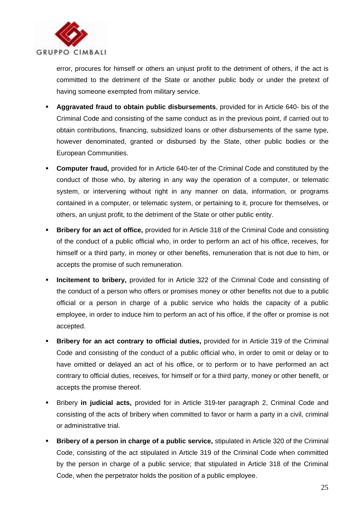

error, procures for himself or others an unjust profit to the detriment of others, if the act is committed to the detriment of the State or another public body or under the pretext of having someone exempted from military service.

- **Aggravated fraud to obtain public disbursements**, provided for in Article 640- bis of the Criminal Code and consisting of the same conduct as in the previous point, if carried out to obtain contributions, financing, subsidized loans or other disbursements of the same type, however denominated, granted or disbursed by the State, other public bodies or the European Communities.
- **Computer fraud,** provided for in Article 640-ter of the Criminal Code and constituted by the conduct of those who, by altering in any way the operation of a computer, or telematic system, or intervening without right in any manner on data, information, or programs contained in a computer, or telematic system, or pertaining to it, procure for themselves, or others, an unjust profit, to the detriment of the State or other public entity.
- **Example 1 Bribery for an act of office, provided for in Article 318 of the Criminal Code and consisting** of the conduct of a public official who, in order to perform an act of his office, receives, for himself or a third party, in money or other benefits, remuneration that is not due to him, or accepts the promise of such remuneration.
- **Incitement to bribery,** provided for in Article 322 of the Criminal Code and consisting of the conduct of a person who offers or promises money or other benefits not due to a public official or a person in charge of a public service who holds the capacity of a public employee, in order to induce him to perform an act of his office, if the offer or promise is not accepted.
- **Bribery for an act contrary to official duties, provided for in Article 319 of the Criminal** Code and consisting of the conduct of a public official who, in order to omit or delay or to have omitted or delayed an act of his office, or to perform or to have performed an act contrary to official duties, receives, for himself or for a third party, money or other benefit, or accepts the promise thereof.
- Bribery in judicial acts, provided for in Article 319-ter paragraph 2, Criminal Code and consisting of the acts of bribery when committed to favor or harm a party in a civil, criminal or administrative trial.
- **EXTER 12 IS A FIREY OF A person in charge of a public service,** stipulated in Article 320 of the Criminal Code, consisting of the act stipulated in Article 319 of the Criminal Code when committed by the person in charge of a public service; that stipulated in Article 318 of the Criminal Code, when the perpetrator holds the position of a public employee.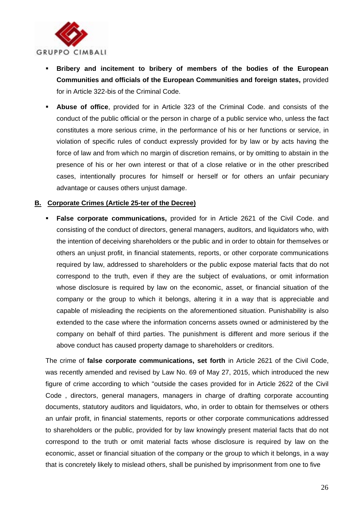

- Bribery and incitement to bribery of members of the bodies of the European **Communities and officials of the European Communities and foreign states,** provided for in Article 322-bis of the Criminal Code.
- **Abuse of office**, provided for in Article 323 of the Criminal Code. and consists of the conduct of the public official or the person in charge of a public service who, unless the fact constitutes a more serious crime, in the performance of his or her functions or service, in violation of specific rules of conduct expressly provided for by law or by acts having the force of law and from which no margin of discretion remains, or by omitting to abstain in the presence of his or her own interest or that of a close relative or in the other prescribed cases, intentionally procures for himself or herself or for others an unfair pecuniary advantage or causes others unjust damage.

#### **B. Corporate Crimes (Article 25-ter of the Decree)**

▪ **False corporate communications,** provided for in Article 2621 of the Civil Code. and consisting of the conduct of directors, general managers, auditors, and liquidators who, with the intention of deceiving shareholders or the public and in order to obtain for themselves or others an unjust profit, in financial statements, reports, or other corporate communications required by law, addressed to shareholders or the public expose material facts that do not correspond to the truth, even if they are the subject of evaluations, or omit information whose disclosure is required by law on the economic, asset, or financial situation of the company or the group to which it belongs, altering it in a way that is appreciable and capable of misleading the recipients on the aforementioned situation. Punishability is also extended to the case where the information concerns assets owned or administered by the company on behalf of third parties. The punishment is different and more serious if the above conduct has caused property damage to shareholders or creditors.

The crime of **false corporate communications, set forth** in Article 2621 of the Civil Code, was recently amended and revised by Law No. 69 of May 27, 2015, which introduced the new figure of crime according to which "outside the cases provided for in Article 2622 of the Civil Code , directors, general managers, managers in charge of drafting corporate accounting documents, statutory auditors and liquidators, who, in order to obtain for themselves or others an unfair profit, in financial statements, reports or other corporate communications addressed to shareholders or the public, provided for by law knowingly present material facts that do not correspond to the truth or omit material facts whose disclosure is required by law on the economic, asset or financial situation of the company or the group to which it belongs, in a way that is concretely likely to mislead others, shall be punished by imprisonment from one to five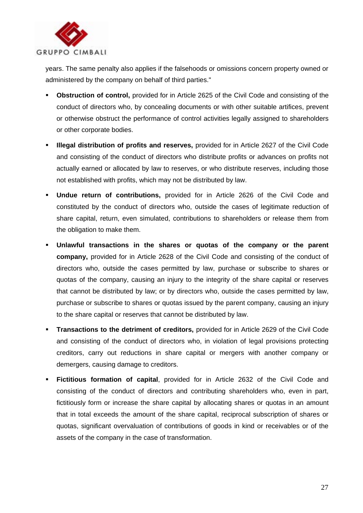

years. The same penalty also applies if the falsehoods or omissions concern property owned or administered by the company on behalf of third parties."

- **Obstruction of control, provided for in Article 2625 of the Civil Code and consisting of the** conduct of directors who, by concealing documents or with other suitable artifices, prevent or otherwise obstruct the performance of control activities legally assigned to shareholders or other corporate bodies.
- **Illegal distribution of profits and reserves,** provided for in Article 2627 of the Civil Code and consisting of the conduct of directors who distribute profits or advances on profits not actually earned or allocated by law to reserves, or who distribute reserves, including those not established with profits, which may not be distributed by law.
- **Undue return of contributions,** provided for in Article 2626 of the Civil Code and constituted by the conduct of directors who, outside the cases of legitimate reduction of share capital, return, even simulated, contributions to shareholders or release them from the obligation to make them.
- **Unlawful transactions in the shares or quotas of the company or the parent company,** provided for in Article 2628 of the Civil Code and consisting of the conduct of directors who, outside the cases permitted by law, purchase or subscribe to shares or quotas of the company, causing an injury to the integrity of the share capital or reserves that cannot be distributed by law; or by directors who, outside the cases permitted by law, purchase or subscribe to shares or quotas issued by the parent company, causing an injury to the share capital or reserves that cannot be distributed by law.
- **Transactions to the detriment of creditors, provided for in Article 2629 of the Civil Code** and consisting of the conduct of directors who, in violation of legal provisions protecting creditors, carry out reductions in share capital or mergers with another company or demergers, causing damage to creditors.
- **Fictitious formation of capital**, provided for in Article 2632 of the Civil Code and consisting of the conduct of directors and contributing shareholders who, even in part, fictitiously form or increase the share capital by allocating shares or quotas in an amount that in total exceeds the amount of the share capital, reciprocal subscription of shares or quotas, significant overvaluation of contributions of goods in kind or receivables or of the assets of the company in the case of transformation.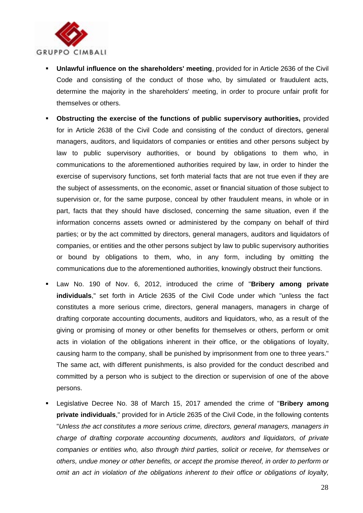

- **Unlawful influence on the shareholders' meeting**, provided for in Article 2636 of the Civil Code and consisting of the conduct of those who, by simulated or fraudulent acts, determine the majority in the shareholders' meeting, in order to procure unfair profit for themselves or others.
- **Obstructing the exercise of the functions of public supervisory authorities,** provided for in Article 2638 of the Civil Code and consisting of the conduct of directors, general managers, auditors, and liquidators of companies or entities and other persons subject by law to public supervisory authorities, or bound by obligations to them who, in communications to the aforementioned authorities required by law, in order to hinder the exercise of supervisory functions, set forth material facts that are not true even if they are the subject of assessments, on the economic, asset or financial situation of those subject to supervision or, for the same purpose, conceal by other fraudulent means, in whole or in part, facts that they should have disclosed, concerning the same situation, even if the information concerns assets owned or administered by the company on behalf of third parties; or by the act committed by directors, general managers, auditors and liquidators of companies, or entities and the other persons subject by law to public supervisory authorities or bound by obligations to them, who, in any form, including by omitting the communications due to the aforementioned authorities, knowingly obstruct their functions.
- Law No. 190 of Nov. 6, 2012, introduced the crime of "**Bribery among private individuals**," set forth in Article 2635 of the Civil Code under which "unless the fact constitutes a more serious crime, directors, general managers, managers in charge of drafting corporate accounting documents, auditors and liquidators, who, as a result of the giving or promising of money or other benefits for themselves or others, perform or omit acts in violation of the obligations inherent in their office, or the obligations of loyalty, causing harm to the company, shall be punished by imprisonment from one to three years." The same act, with different punishments, is also provided for the conduct described and committed by a person who is subject to the direction or supervision of one of the above persons.
- Legislative Decree No. 38 of March 15, 2017 amended the crime of "Bribery among **private individuals**," provided for in Article 2635 of the Civil Code, in the following contents "*Unless the act constitutes a more serious crime, directors, general managers, managers in charge of drafting corporate accounting documents, auditors and liquidators, of private companies or entities who, also through third parties, solicit or receive, for themselves or others, undue money or other benefits, or accept the promise thereof, in order to perform or omit an act in violation of the obligations inherent to their office or obligations of loyalty,*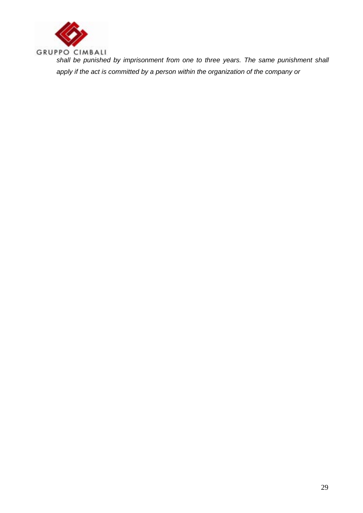

*shall be punished by imprisonment from one to three years. The same punishment shall apply if the act is committed by a person within the organization of the company or*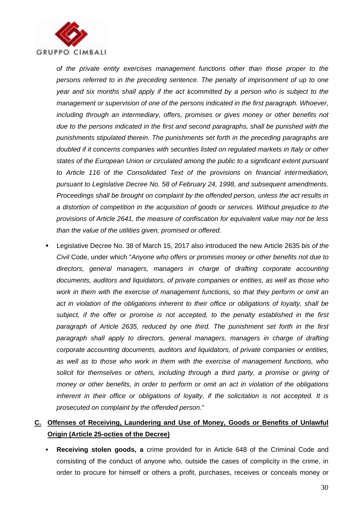

*of the private entity exercises management functions other than those proper to the persons referred to in the preceding sentence. The penalty of imprisonment of up to one year and six months shall apply if the act is committed by a person who is subject to the management or supervision of one of the persons indicated in the first paragraph. Whoever, including through an intermediary, offers, promises or gives money or other benefits not due to the persons indicated in the first and second paragraphs, shall be punished with the punishments stipulated therein. The punishments set forth in the preceding paragraphs are doubled if it concerns companies with securities listed on regulated markets in Italy or other states of the European Union or circulated among the public to a significant extent pursuant to Article 116 of the Consolidated Text of the provisions on financial intermediation, pursuant to Legislative Decree No. 58 of February 24, 1998, and subsequent amendments. Proceedings shall be brought on complaint by the offended person, unless the act results in a distortion of competition in the acquisition of goods or services. Without prejudice to the provisions of Article 2641, the measure of confiscation for equivalent value may not be less than the value of the utilities given, promised or offered*.

▪ Legislative Decree No. 38 of March 15, 2017 also introduced the new Article 2635 *bis of the Civil* Code, under which "*Anyone who offers or promises money or other benefits not due to directors, general managers, managers in charge of drafting corporate accounting documents, auditors and liquidators, of private companies or entities, as well as those who work in them with the exercise of management functions, so that they perform or omit an act in violation of the obligations inherent to their office or obligations of loyalty, shall be subject, if the offer or promise is not accepted, to the penalty established in the first paragraph of Article 2635, reduced by one third. The punishment set forth in the first paragraph shall apply to directors, general managers, managers in charge of drafting corporate accounting documents, auditors and liquidators, of private companies or entities, as well as to those who work in them with the exercise of management functions, who*  solicit for themselves or others, including through a third party, a promise or giving of *money or other benefits, in order to perform or omit an act in violation of the obligations inherent in their office or obligations of loyalty, if the solicitation is not accepted. It is prosecuted on complaint by the offended person.*"

#### **C. Offenses of Receiving, Laundering and Use of Money, Goods or Benefits of Unlawful Origin (Article 25-octies of the Decree)**

▪ **Receiving stolen goods, a** crime provided for in Article 648 of the Criminal Code and consisting of the conduct of anyone who, outside the cases of complicity in the crime, in order to procure for himself or others a profit, purchases, receives or conceals money or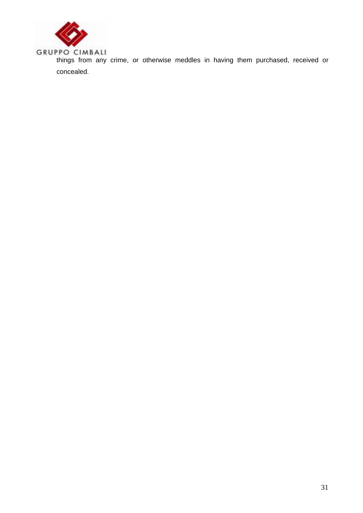

GRUPPO CIMBALI<br>things from any crime, or otherwise meddles in having them purchased, received or concealed.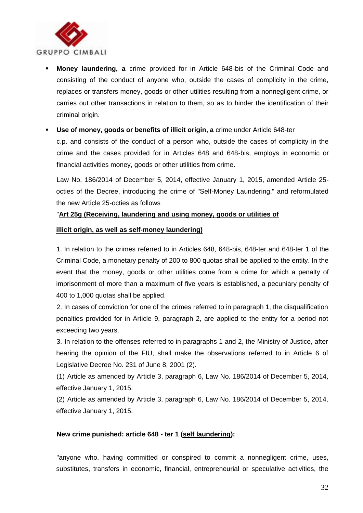

- **Money laundering, a** crime provided for in Article 648-bis of the Criminal Code and consisting of the conduct of anyone who, outside the cases of complicity in the crime, replaces or transfers money, goods or other utilities resulting from a nonnegligent crime, or carries out other transactions in relation to them, so as to hinder the identification of their criminal origin.
- **Use of money, goods or benefits of illicit origin, a** crime under Article 648-ter

c.p. and consists of the conduct of a person who, outside the cases of complicity in the crime and the cases provided for in Articles 648 and 648-bis, employs in economic or financial activities money, goods or other utilities from crime.

Law No. 186/2014 of December 5, 2014, effective January 1, 2015, amended Article 25 octies of the Decree, introducing the crime of "Self-Money Laundering," and reformulated the new Article 25-octies as follows

#### "**Art 25g (Receiving, laundering and using money, goods or utilities of**

#### **illicit origin, as well as self-money laundering)**

1. In relation to the crimes referred to in Articles 648, 648-bis, 648-ter and 648-ter 1 of the Criminal Code, a monetary penalty of 200 to 800 quotas shall be applied to the entity. In the event that the money, goods or other utilities come from a crime for which a penalty of imprisonment of more than a maximum of five years is established, a pecuniary penalty of 400 to 1,000 quotas shall be applied.

2. In cases of conviction for one of the crimes referred to in paragraph 1, the disqualification penalties provided for in Article 9, paragraph 2, are applied to the entity for a period not exceeding two years.

3. In relation to the offenses referred to in paragraphs 1 and 2, the Ministry of Justice, after hearing the opinion of the FIU, shall make the observations referred to in Article 6 of Legislative Decree No. 231 of June 8, 2001 (2).

(1) Article as amended by Article 3, paragraph 6, Law No. 186/2014 of December 5, 2014, effective January 1, 2015.

(2) Article as amended by Article 3, paragraph 6, Law No. 186/2014 of December 5, 2014, effective January 1, 2015.

#### **New crime punished: article 648 - ter 1 (self laundering):**

"anyone who, having committed or conspired to commit a nonnegligent crime, uses, substitutes, transfers in economic, financial, entrepreneurial or speculative activities, the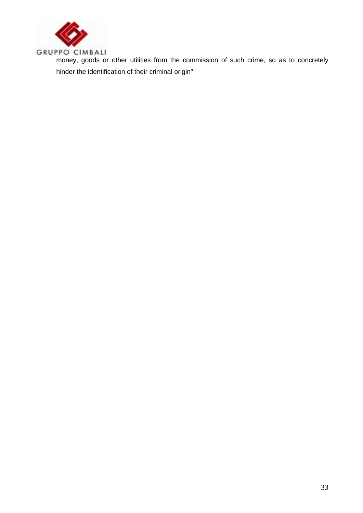

money, goods or other utilities from the commission of such crime, so as to concretely hinder the identification of their criminal origin"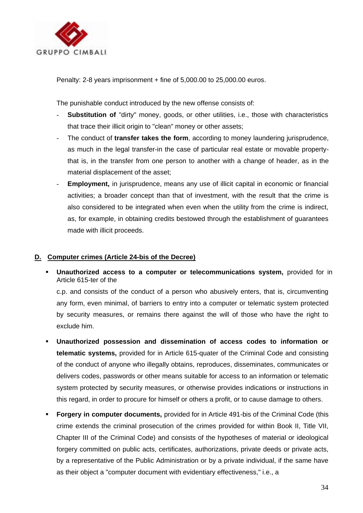

Penalty: 2-8 years imprisonment + fine of 5,000.00 to 25,000.00 euros.

The punishable conduct introduced by the new offense consists of:

- Substitution of "dirty" money, goods, or other utilities, i.e., those with characteristics that trace their illicit origin to "clean" money or other assets;
- The conduct of **transfer takes the form**, according to money laundering jurisprudence, as much in the legal transfer-in the case of particular real estate or movable propertythat is, in the transfer from one person to another with a change of header, as in the material displacement of the asset;
- **Employment,** in jurisprudence, means any use of illicit capital in economic or financial activities; a broader concept than that of investment, with the result that the crime is also considered to be integrated when even when the utility from the crime is indirect, as, for example, in obtaining credits bestowed through the establishment of guarantees made with illicit proceeds.

#### **D. Computer crimes (Article 24-bis of the Decree)**

**Unauthorized access to a computer or telecommunications system, provided for in** Article 615-ter of the

c.p. and consists of the conduct of a person who abusively enters, that is, circumventing any form, even minimal, of barriers to entry into a computer or telematic system protected by security measures, or remains there against the will of those who have the right to exclude him.

- **Unauthorized possession and dissemination of access codes to information or telematic systems,** provided for in Article 615-quater of the Criminal Code and consisting of the conduct of anyone who illegally obtains, reproduces, disseminates, communicates or delivers codes, passwords or other means suitable for access to an information or telematic system protected by security measures, or otherwise provides indications or instructions in this regard, in order to procure for himself or others a profit, or to cause damage to others.
- **Forgery in computer documents,** provided for in Article 491-bis of the Criminal Code (this crime extends the criminal prosecution of the crimes provided for within Book II, Title VII, Chapter III of the Criminal Code) and consists of the hypotheses of material or ideological forgery committed on public acts, certificates, authorizations, private deeds or private acts, by a representative of the Public Administration or by a private individual, if the same have as their object a "computer document with evidentiary effectiveness," i.e., a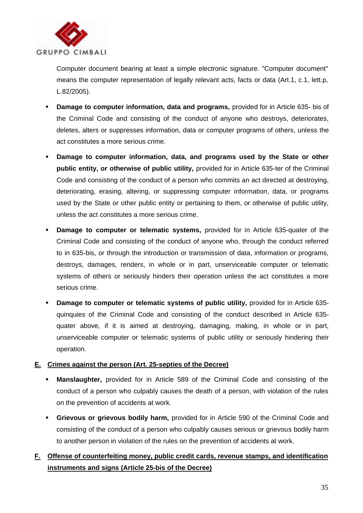

Computer document bearing at least a simple electronic signature. "Computer document" means the computer representation of legally relevant acts, facts or data (Art.1, c.1, lett.p, L.82/2005).

- **Damage to computer information, data and programs,** provided for in Article 635- bis of the Criminal Code and consisting of the conduct of anyone who destroys, deteriorates, deletes, alters or suppresses information, data or computer programs of others, unless the act constitutes a more serious crime.
- **Damage to computer information, data, and programs used by the State or other public entity, or otherwise of public utility,** provided for in Article 635-ter of the Criminal Code and consisting of the conduct of a person who commits an act directed at destroying, deteriorating, erasing, altering, or suppressing computer information, data, or programs used by the State or other public entity or pertaining to them, or otherwise of public utility, unless the act constitutes a more serious crime.
- **Damage to computer or telematic systems,** provided for in Article 635-quater of the Criminal Code and consisting of the conduct of anyone who, through the conduct referred to in 635-bis, or through the introduction or transmission of data, information or programs, destroys, damages, renders, in whole or in part, unserviceable computer or telematic systems of others or seriously hinders their operation unless the act constitutes a more serious crime.
- **Damage to computer or telematic systems of public utility, provided for in Article 635**quinquies of the Criminal Code and consisting of the conduct described in Article 635 quater above*,* if it is aimed at destroying, damaging, making, in whole or in part, unserviceable computer or telematic systems of public utility or seriously hindering their operation.

#### **E. Crimes against the person (Art. 25-septies of the Decree)**

- **Manslaughter,** provided for in Article 589 of the Criminal Code and consisting of the conduct of a person who culpably causes the death of a person, with violation of the rules on the prevention of accidents at work.
- **Grievous or grievous bodily harm,** provided for in Article 590 of the Criminal Code and consisting of the conduct of a person who culpably causes serious or grievous bodily harm to another person in violation of the rules on the prevention of accidents at work.

### **F. Offense of counterfeiting money, public credit cards, revenue stamps, and identification instruments and signs (Article 25-bis of the Decree)**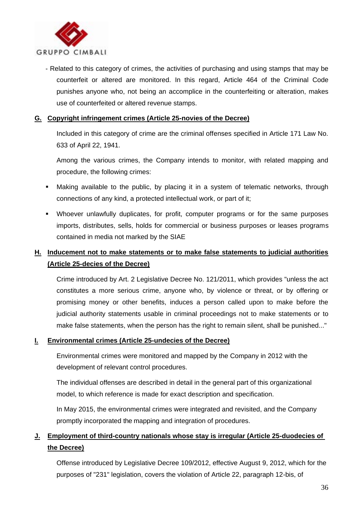

- Related to this category of crimes, the activities of purchasing and using stamps that may be counterfeit or altered are monitored. In this regard, Article 464 of the Criminal Code punishes anyone who, not being an accomplice in the counterfeiting or alteration, makes use of counterfeited or altered revenue stamps.

#### **G. Copyright infringement crimes (Article 25-novies of the Decree)**

Included in this category of crime are the criminal offenses specified in Article 171 Law No. 633 of April 22, 1941.

Among the various crimes, the Company intends to monitor, with related mapping and procedure, the following crimes:

- **■** Making available to the public, by placing it in a system of telematic networks, through connections of any kind, a protected intellectual work, or part of it;
- Whoever unlawfully duplicates, for profit, computer programs or for the same purposes imports, distributes, sells, holds for commercial or business purposes or leases programs contained in media not marked by the SIAE

### **H. Inducement not to make statements or to make false statements to judicial authorities (Article 25-decies of the Decree)**

Crime introduced by Art. 2 Legislative Decree No. 121/2011, which provides "unless the act constitutes a more serious crime, anyone who, by violence or threat, or by offering or promising money or other benefits, induces a person called upon to make before the judicial authority statements usable in criminal proceedings not to make statements or to make false statements, when the person has the right to remain silent, shall be punished..."

#### **I. Environmental crimes (Article 25-undecies of the Decree)**

Environmental crimes were monitored and mapped by the Company in 2012 with the development of relevant control procedures.

The individual offenses are described in detail in the general part of this organizational model, to which reference is made for exact description and specification.

In May 2015, the environmental crimes were integrated and revisited, and the Company promptly incorporated the mapping and integration of procedures.

## **J. Employment of third-country nationals whose stay is irregular (Article 25-duodecies of the Decree)**

Offense introduced by Legislative Decree 109/2012, effective August 9, 2012, which for the purposes of "231" legislation, covers the violation of Article 22, paragraph 12-bis, of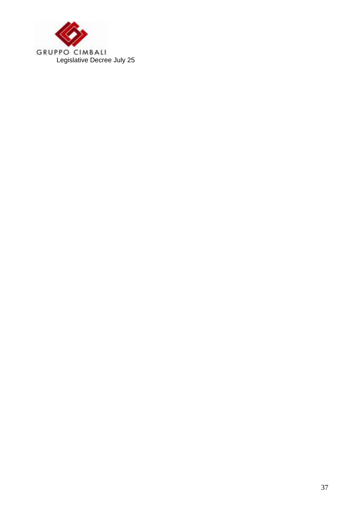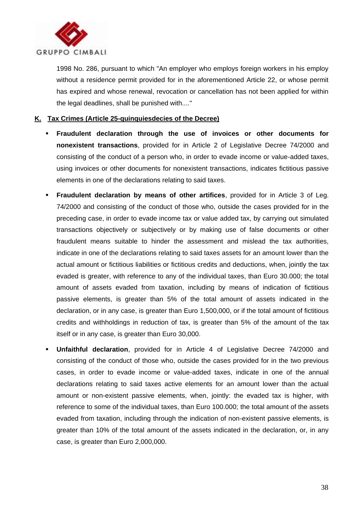

1998 No. 286, pursuant to which "An employer who employs foreign workers in his employ without a residence permit provided for in the aforementioned Article 22, or whose permit has expired and whose renewal, revocation or cancellation has not been applied for within the legal deadlines, shall be punished with...."

#### **K. Tax Crimes (Article 25-quinquiesdecies of the Decree)**

- **Fraudulent declaration through the use of invoices or other documents for nonexistent transactions**, provided for in Article 2 of Legislative Decree 74/2000 and consisting of the conduct of a person who, in order to evade income or value-added taxes, using invoices or other documents for nonexistent transactions, indicates fictitious passive elements in one of the declarations relating to said taxes.
- **Fraudulent declaration by means of other artifices**, provided for in Article 3 of Leg. 74/2000 and consisting of the conduct of those who, outside the cases provided for in the preceding case, in order to evade income tax or value added tax, by carrying out simulated transactions objectively or subjectively or by making use of false documents or other fraudulent means suitable to hinder the assessment and mislead the tax authorities, indicate in one of the declarations relating to said taxes assets for an amount lower than the actual amount or fictitious liabilities or fictitious credits and deductions, when, jointly the tax evaded is greater, with reference to any of the individual taxes, than Euro 30.000; the total amount of assets evaded from taxation, including by means of indication of fictitious passive elements, is greater than 5% of the total amount of assets indicated in the declaration, or in any case, is greater than Euro 1,500,000, or if the total amount of fictitious credits and withholdings in reduction of tax, is greater than 5% of the amount of the tax itself or in any case, is greater than Euro 30,000.
- **Unfaithful declaration**, provided for in Article 4 of Legislative Decree 74/2000 and consisting of the conduct of those who, outside the cases provided for in the two previous cases, in order to evade income or value-added taxes, indicate in one of the annual declarations relating to said taxes active elements for an amount lower than the actual amount or non-existent passive elements, when, jointly: the evaded tax is higher, with reference to some of the individual taxes, than Euro 100.000; the total amount of the assets evaded from taxation, including through the indication of non-existent passive elements, is greater than 10% of the total amount of the assets indicated in the declaration, or, in any case, is greater than Euro 2,000,000.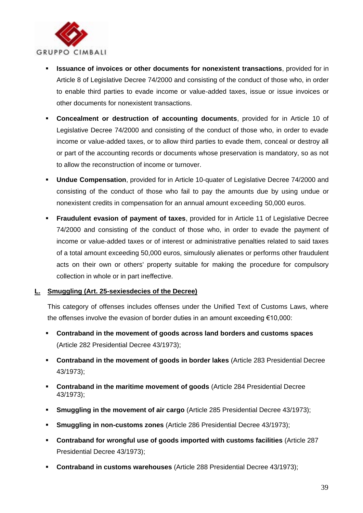

- **EXECTE ISSUANCE OF INVOICES OF Other documents for nonexistent transactions**, provided for in Article 8 of Legislative Decree 74/2000 and consisting of the conduct of those who, in order to enable third parties to evade income or value-added taxes, issue or issue invoices or other documents for nonexistent transactions.
- **Concealment or destruction of accounting documents**, provided for in Article 10 of Legislative Decree 74/2000 and consisting of the conduct of those who, in order to evade income or value-added taxes, or to allow third parties to evade them, conceal or destroy all or part of the accounting records or documents whose preservation is mandatory, so as not to allow the reconstruction of income or turnover.
- **Undue Compensation**, provided for in Article 10-quater of Legislative Decree 74/2000 and consisting of the conduct of those who fail to pay the amounts due by using undue or nonexistent credits in compensation for an annual amount exceeding 50,000 euros.
- **Fraudulent evasion of payment of taxes**, provided for in Article 11 of Legislative Decree 74/2000 and consisting of the conduct of those who, in order to evade the payment of income or value-added taxes or of interest or administrative penalties related to said taxes of a total amount exceeding 50,000 euros, simulously alienates or performs other fraudulent acts on their own or others' property suitable for making the procedure for compulsory collection in whole or in part ineffective.

#### **L. Smuggling (Art. 25-sexiesdecies of the Decree)**

This category of offenses includes offenses under the Unified Text of Customs Laws, where the offenses involve the evasion of border duties in an amount exceeding €10,000:

- **Contraband in the movement of goods across land borders and customs spaces**  (Article 282 Presidential Decree 43/1973);
- **Contraband in the movement of goods in border lakes** (Article 283 Presidential Decree 43/1973);
- **Contraband in the maritime movement of goods** (Article 284 Presidential Decree 43/1973);
- **Smuggling in the movement of air cargo** (Article 285 Presidential Decree 43/1973);
- **Smuggling in non-customs zones** (Article 286 Presidential Decree 43/1973);
- **Contraband for wrongful use of goods imported with customs facilities** (Article 287 Presidential Decree 43/1973);
- **Contraband in customs warehouses** (Article 288 Presidential Decree 43/1973);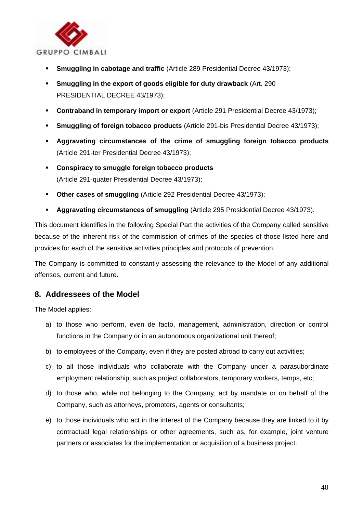

- **Smuggling in cabotage and traffic** (Article 289 Presidential Decree 43/1973);
- **Smuggling in the export of goods eligible for duty drawback** (Art. 290 PRESIDENTIAL DECREE 43/1973);
- **Contraband in temporary import or export** (Article 291 Presidential Decree 43/1973);
- **Smuggling of foreign tobacco products** (Article 291-bis Presidential Decree 43/1973);
- **Aggravating circumstances of the crime of smuggling foreign tobacco products**  (Article 291-ter Presidential Decree 43/1973);
- **Conspiracy to smuggle foreign tobacco products** (Article 291-quater Presidential Decree 43/1973);
- **Other cases of smuggling** (Article 292 Presidential Decree 43/1973);
- **Aggravating circumstances of smuggling** (Article 295 Presidential Decree 43/1973).

This document identifies in the following Special Part the activities of the Company called sensitive because of the inherent risk of the commission of crimes of the species of those listed here and provides for each of the sensitive activities principles and protocols of prevention.

The Company is committed to constantly assessing the relevance to the Model of any additional offenses, current and future.

#### **8. Addressees of the Model**

The Model applies:

- a) to those who perform, even de facto, management, administration, direction or control functions in the Company or in an autonomous organizational unit thereof;
- b) to employees of the Company, even if they are posted abroad to carry out activities;
- c) to all those individuals who collaborate with the Company under a parasubordinate employment relationship, such as project collaborators, temporary workers, temps, etc;
- d) to those who, while not belonging to the Company, act by mandate or on behalf of the Company, such as attorneys, promoters, agents or consultants;
- e) to those individuals who act in the interest of the Company because they are linked to it by contractual legal relationships or other agreements, such as, for example, joint venture partners or associates for the implementation or acquisition of a business project.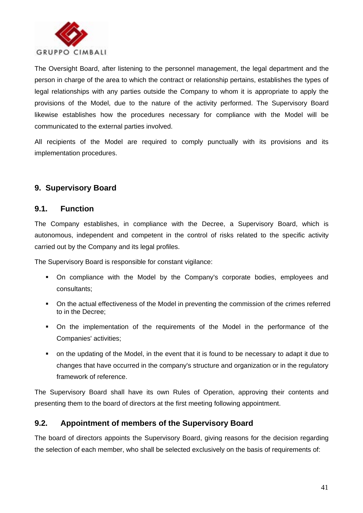

The Oversight Board, after listening to the personnel management, the legal department and the person in charge of the area to which the contract or relationship pertains, establishes the types of legal relationships with any parties outside the Company to whom it is appropriate to apply the provisions of the Model, due to the nature of the activity performed. The Supervisory Board likewise establishes how the procedures necessary for compliance with the Model will be communicated to the external parties involved.

All recipients of the Model are required to comply punctually with its provisions and its implementation procedures.

# **9. Supervisory Board**

## **9.1. Function**

The Company establishes, in compliance with the Decree, a Supervisory Board, which is autonomous, independent and competent in the control of risks related to the specific activity carried out by the Company and its legal profiles.

The Supervisory Board is responsible for constant vigilance:

- On compliance with the Model by the Company's corporate bodies, employees and consultants;
- On the actual effectiveness of the Model in preventing the commission of the crimes referred to in the Decree;
- On the implementation of the requirements of the Model in the performance of the Companies' activities;
- on the updating of the Model, in the event that it is found to be necessary to adapt it due to changes that have occurred in the company's structure and organization or in the regulatory framework of reference.

The Supervisory Board shall have its own Rules of Operation, approving their contents and presenting them to the board of directors at the first meeting following appointment.

# **9.2. Appointment of members of the Supervisory Board**

The board of directors appoints the Supervisory Board, giving reasons for the decision regarding the selection of each member, who shall be selected exclusively on the basis of requirements of: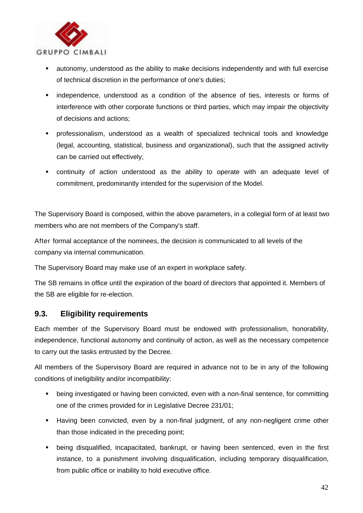

- autonomy, understood as the ability to make decisions independently and with full exercise of technical discretion in the performance of one's duties;
- independence, understood as a condition of the absence of ties, interests or forms of interference with other corporate functions or third parties, which may impair the objectivity of decisions and actions;
- professionalism, understood as a wealth of specialized technical tools and knowledge (legal, accounting, statistical, business and organizational), such that the assigned activity can be carried out effectively;
- continuity of action understood as the ability to operate with an adequate level of commitment, predominantly intended for the supervision of the Model.

The Supervisory Board is composed, within the above parameters, in a collegial form of at least two members who are not members of the Company's staff.

After formal acceptance of the nominees, the decision is communicated to all levels of the company via internal communication.

The Supervisory Board may make use of an expert in workplace safety.

The SB remains in office until the expiration of the board of directors that appointed it. Members of the SB are eligible for re-election.

# **9.3. Eligibility requirements**

Each member of the Supervisory Board must be endowed with professionalism, honorability, independence, functional autonomy and continuity of action, as well as the necessary competence to carry out the tasks entrusted by the Decree.

All members of the Supervisory Board are required in advance not to be in any of the following conditions of ineligibility and/or incompatibility:

- being investigated or having been convicted, even with a non-final sentence, for committing one of the crimes provided for in Legislative Decree 231/01;
- **E** Having been convicted, even by a non-final judgment, of any non-negligent crime other than those indicated in the preceding point;
- being disqualified, incapacitated, bankrupt, or having been sentenced, even in the first instance, to a punishment involving disqualification, including temporary disqualification, from public office or inability to hold executive office.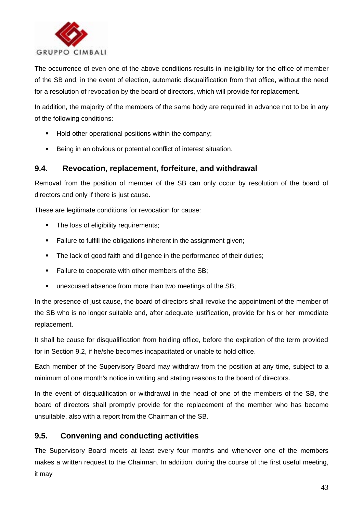

The occurrence of even one of the above conditions results in ineligibility for the office of member of the SB and, in the event of election, automatic disqualification from that office, without the need for a resolution of revocation by the board of directors, which will provide for replacement.

In addition, the majority of the members of the same body are required in advance not to be in any of the following conditions:

- Hold other operational positions within the company;
- Being in an obvious or potential conflict of interest situation.

# **9.4. Revocation, replacement, forfeiture, and withdrawal**

Removal from the position of member of the SB can only occur by resolution of the board of directors and only if there is just cause.

These are legitimate conditions for revocation for cause:

- **•** The loss of eligibility requirements:
- Failure to fulfill the obligations inherent in the assignment given;
- The lack of good faith and diligence in the performance of their duties;
- Failure to cooperate with other members of the SB;
- unexcused absence from more than two meetings of the SB;

In the presence of just cause, the board of directors shall revoke the appointment of the member of the SB who is no longer suitable and, after adequate justification, provide for his or her immediate replacement.

It shall be cause for disqualification from holding office, before the expiration of the term provided for in Section 9.2, if he/she becomes incapacitated or unable to hold office.

Each member of the Supervisory Board may withdraw from the position at any time, subject to a minimum of one month's notice in writing and stating reasons to the board of directors.

In the event of disqualification or withdrawal in the head of one of the members of the SB, the board of directors shall promptly provide for the replacement of the member who has become unsuitable, also with a report from the Chairman of the SB.

# **9.5. Convening and conducting activities**

The Supervisory Board meets at least every four months and whenever one of the members makes a written request to the Chairman. In addition, during the course of the first useful meeting, it may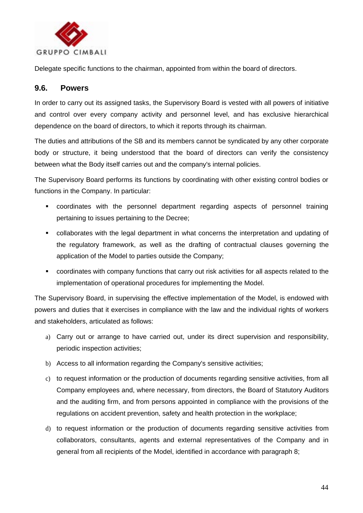

Delegate specific functions to the chairman, appointed from within the board of directors.

## **9.6. Powers**

In order to carry out its assigned tasks, the Supervisory Board is vested with all powers of initiative and control over every company activity and personnel level, and has exclusive hierarchical dependence on the board of directors, to which it reports through its chairman.

The duties and attributions of the SB and its members cannot be syndicated by any other corporate body or structure, it being understood that the board of directors can verify the consistency between what the Body itself carries out and the company's internal policies.

The Supervisory Board performs its functions by coordinating with other existing control bodies or functions in the Company. In particular:

- coordinates with the personnel department regarding aspects of personnel training pertaining to issues pertaining to the Decree;
- collaborates with the legal department in what concerns the interpretation and updating of the regulatory framework, as well as the drafting of contractual clauses governing the application of the Model to parties outside the Company;
- coordinates with company functions that carry out risk activities for all aspects related to the implementation of operational procedures for implementing the Model.

The Supervisory Board, in supervising the effective implementation of the Model, is endowed with powers and duties that it exercises in compliance with the law and the individual rights of workers and stakeholders, articulated as follows:

- a) Carry out or arrange to have carried out, under its direct supervision and responsibility, periodic inspection activities;
- b) Access to all information regarding the Company's sensitive activities;
- c) to request information or the production of documents regarding sensitive activities, from all Company employees and, where necessary, from directors, the Board of Statutory Auditors and the auditing firm, and from persons appointed in compliance with the provisions of the regulations on accident prevention, safety and health protection in the workplace;
- d) to request information or the production of documents regarding sensitive activities from collaborators, consultants, agents and external representatives of the Company and in general from all recipients of the Model, identified in accordance with paragraph 8;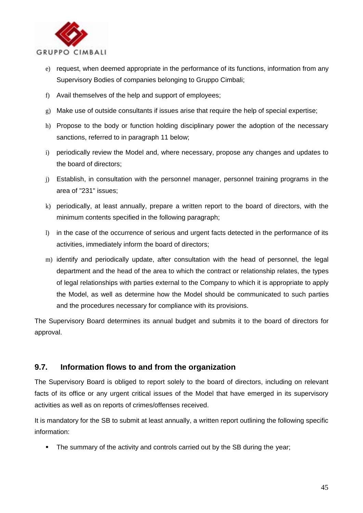

- e) request, when deemed appropriate in the performance of its functions, information from any Supervisory Bodies of companies belonging to Gruppo Cimbali;
- f) Avail themselves of the help and support of employees;
- g) Make use of outside consultants if issues arise that require the help of special expertise;
- h) Propose to the body or function holding disciplinary power the adoption of the necessary sanctions, referred to in paragraph 11 below;
- i) periodically review the Model and, where necessary, propose any changes and updates to the board of directors;
- j) Establish, in consultation with the personnel manager, personnel training programs in the area of "231" issues;
- k) periodically, at least annually, prepare a written report to the board of directors, with the minimum contents specified in the following paragraph;
- l) in the case of the occurrence of serious and urgent facts detected in the performance of its activities, immediately inform the board of directors;
- m) identify and periodically update, after consultation with the head of personnel, the legal department and the head of the area to which the contract or relationship relates, the types of legal relationships with parties external to the Company to which it is appropriate to apply the Model, as well as determine how the Model should be communicated to such parties and the procedures necessary for compliance with its provisions.

The Supervisory Board determines its annual budget and submits it to the board of directors for approval.

# **9.7. Information flows to and from the organization**

The Supervisory Board is obliged to report solely to the board of directors, including on relevant facts of its office or any urgent critical issues of the Model that have emerged in its supervisory activities as well as on reports of crimes/offenses received.

It is mandatory for the SB to submit at least annually, a written report outlining the following specific information:

**•** The summary of the activity and controls carried out by the SB during the year;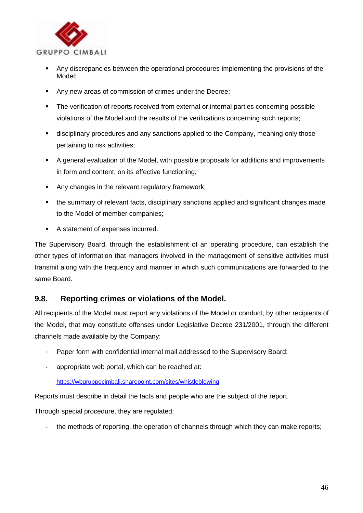

- Any discrepancies between the operational procedures implementing the provisions of the Model;
- Any new areas of commission of crimes under the Decree;
- **EXTER 1** The verification of reports received from external or internal parties concerning possible violations of the Model and the results of the verifications concerning such reports;
- disciplinary procedures and any sanctions applied to the Company, meaning only those pertaining to risk activities;
- A general evaluation of the Model, with possible proposals for additions and improvements in form and content, on its effective functioning;
- Any changes in the relevant regulatory framework;
- the summary of relevant facts, disciplinary sanctions applied and significant changes made to the Model of member companies;
- A statement of expenses incurred.

The Supervisory Board, through the establishment of an operating procedure, can establish the other types of information that managers involved in the management of sensitive activities must transmit along with the frequency and manner in which such communications are forwarded to the same Board.

# **9.8. Reporting crimes or violations of the Model.**

All recipients of the Model must report any violations of the Model or conduct, by other recipients of the Model, that may constitute offenses under Legislative Decree 231/2001, through the different channels made available by the Company:

- Paper form with confidential internal mail addressed to the Supervisory Board;
- appropriate web portal, which can be reached at:

## <https://wbgruppocimbali.sharepoint.com/sites/whistleblowing>

Reports must describe in detail the facts and people who are the subject of the report.

Through special procedure, they are regulated:

- the methods of reporting, the operation of channels through which they can make reports;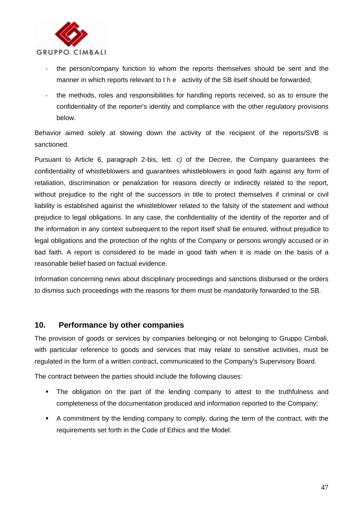

- the person/company function to whom the reports themselves should be sent and the manner in which reports relevant to the activity of the SB itself should be forwarded;
- the methods, roles and responsibilities for handling reports received, so as to ensure the confidentiality of the reporter's identity and compliance with the other regulatory provisions below.

Behavior aimed solely at slowing down the activity of the recipient of the reports/SVB is sanctioned.

Pursuant to Article 6, paragraph 2-bis, lett. *c)* of the Decree, the Company guarantees the confidentiality of whistleblowers and guarantees whistleblowers in good faith against any form of retaliation, discrimination or penalization for reasons directly or indirectly related to the report, without prejudice to the right of the successors in title to protect themselves if criminal or civil liability is established against the whistleblower related to the falsity of the statement and without prejudice to legal obligations. In any case, the confidentiality of the identity of the reporter and of the information in any context subsequent to the report itself shall be ensured, without prejudice to legal obligations and the protection of the rights of the Company or persons wrongly accused or in bad faith. A report is considered to be made in good faith when it is made on the basis of a reasonable belief based on factual evidence.

Information concerning news about disciplinary proceedings and sanctions disbursed or the orders to dismiss such proceedings with the reasons for them must be mandatorily forwarded to the SB.

# **10. Performance by other companies**

The provision of goods or services by companies belonging or not belonging to Gruppo Cimbali, with particular reference to goods and services that may relate to sensitive activities, must be regulated in the form of a written contract, communicated to the Company's Supervisory Board.

The contract between the parties should include the following clauses:

- The obligation on the part of the lending company to attest to the truthfulness and completeness of the documentation produced and information reported to the Company;
- A commitment by the lending company to comply, during the term of the contract, with the requirements set forth in the Code of Ethics and the Model.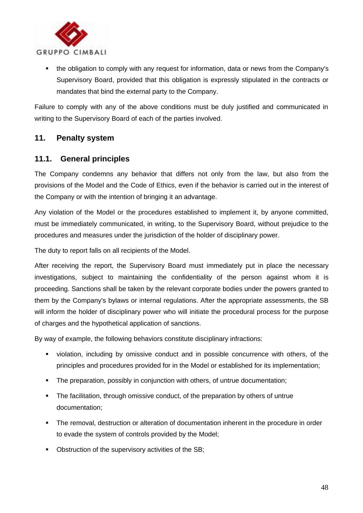

■ the obligation to comply with any request for information, data or news from the Company's Supervisory Board, provided that this obligation is expressly stipulated in the contracts or mandates that bind the external party to the Company.

Failure to comply with any of the above conditions must be duly justified and communicated in writing to the Supervisory Board of each of the parties involved.

# **11. Penalty system**

# **11.1. General principles**

The Company condemns any behavior that differs not only from the law, but also from the provisions of the Model and the Code of Ethics, even if the behavior is carried out in the interest of the Company or with the intention of bringing it an advantage.

Any violation of the Model or the procedures established to implement it, by anyone committed, must be immediately communicated, in writing, to the Supervisory Board, without prejudice to the procedures and measures under the jurisdiction of the holder of disciplinary power.

The duty to report falls on all recipients of the Model.

After receiving the report, the Supervisory Board must immediately put in place the necessary investigations, subject to maintaining the confidentiality of the person against whom it is proceeding. Sanctions shall be taken by the relevant corporate bodies under the powers granted to them by the Company's bylaws or internal regulations. After the appropriate assessments, the SB will inform the holder of disciplinary power who will initiate the procedural process for the purpose of charges and the hypothetical application of sanctions.

By way of example, the following behaviors constitute disciplinary infractions:

- violation, including by omissive conduct and in possible concurrence with others, of the principles and procedures provided for in the Model or established for its implementation;
- **•** The preparation, possibly in conjunction with others, of untrue documentation;
- **•** The facilitation, through omissive conduct, of the preparation by others of untrue documentation;
- **EXT** The removal, destruction or alteration of documentation inherent in the procedure in order to evade the system of controls provided by the Model;
- **•** Obstruction of the supervisory activities of the SB;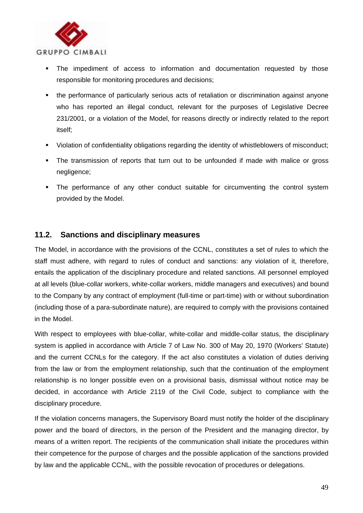

- **•** The impediment of access to information and documentation requested by those responsible for monitoring procedures and decisions;
- **•** the performance of particularly serious acts of retaliation or discrimination against anyone who has reported an illegal conduct, relevant for the purposes of Legislative Decree 231/2001, or a violation of the Model, for reasons directly or indirectly related to the report itself;
- Violation of confidentiality obligations regarding the identity of whistleblowers of misconduct;
- The transmission of reports that turn out to be unfounded if made with malice or gross negligence;
- **•** The performance of any other conduct suitable for circumventing the control system provided by the Model.

# **11.2. Sanctions and disciplinary measures**

The Model, in accordance with the provisions of the CCNL, constitutes a set of rules to which the staff must adhere, with regard to rules of conduct and sanctions: any violation of it, therefore, entails the application of the disciplinary procedure and related sanctions. All personnel employed at all levels (blue-collar workers, white-collar workers, middle managers and executives) and bound to the Company by any contract of employment (full-time or part-time) with or without subordination (including those of a para-subordinate nature), are required to comply with the provisions contained in the Model.

With respect to employees with blue-collar, white-collar and middle-collar status, the disciplinary system is applied in accordance with Article 7 of Law No. 300 of May 20, 1970 (Workers' Statute) and the current CCNLs for the category. If the act also constitutes a violation of duties deriving from the law or from the employment relationship, such that the continuation of the employment relationship is no longer possible even on a provisional basis, dismissal without notice may be decided, in accordance with Article 2119 of the Civil Code, subject to compliance with the disciplinary procedure.

If the violation concerns managers, the Supervisory Board must notify the holder of the disciplinary power and the board of directors, in the person of the President and the managing director, by means of a written report. The recipients of the communication shall initiate the procedures within their competence for the purpose of charges and the possible application of the sanctions provided by law and the applicable CCNL, with the possible revocation of procedures or delegations.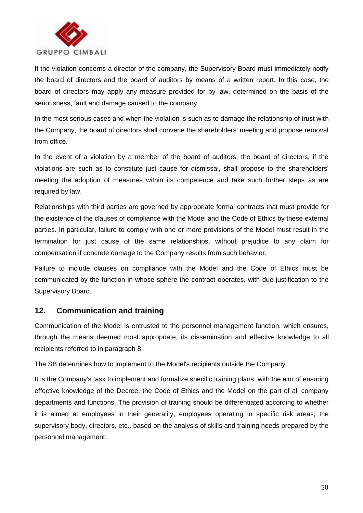

If the violation concerns a director of the company, the Supervisory Board must immediately notify the board of directors and the board of auditors by means of a written report. In this case, the board of directors may apply any measure provided for by law, determined on the basis of the seriousness, fault and damage caused to the company.

In the most serious cases and when the violation is such as to damage the relationship of trust with the Company, the board of directors shall convene the shareholders' meeting and propose removal from office.

In the event of a violation by a member of the board of auditors, the board of directors, if the violations are such as to constitute just cause for dismissal, shall propose to the shareholders' meeting the adoption of measures within its competence and take such further steps as are required by law.

Relationships with third parties are governed by appropriate formal contracts that must provide for the existence of the clauses of compliance with the Model and the Code of Ethics by these external parties. In particular, failure to comply with one or more provisions of the Model must result in the termination for just cause of the same relationships, without prejudice to any claim for compensation if concrete damage to the Company results from such behavior.

Failure to include clauses on compliance with the Model and the Code of Ethics must be communicated by the function in whose sphere the contract operates, with due justification to the Supervisory Board.

# **12. Communication and training**

Communication of the Model is entrusted to the personnel management function, which ensures, through the means deemed most appropriate, its dissemination and effective knowledge to all recipients referred to in paragraph 8.

The SB determines how to implement to the Model's recipients outside the Company.

It is the Company's task to implement and formalize specific training plans, with the aim of ensuring effective knowledge of the Decree, the Code of Ethics and the Model on the part of all company departments and functions. The provision of training should be differentiated according to whether it is aimed at employees in their generality, employees operating in specific risk areas, the supervisory body, directors, etc., based on the analysis of skills and training needs prepared by the personnel management.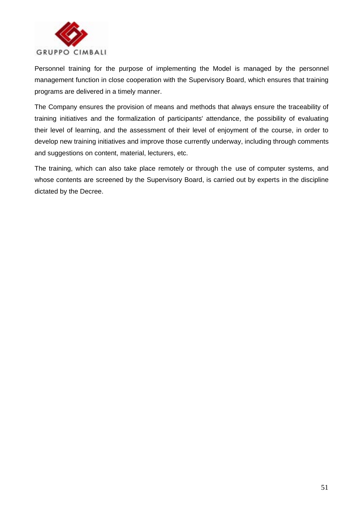

Personnel training for the purpose of implementing the Model is managed by the personnel management function in close cooperation with the Supervisory Board, which ensures that training programs are delivered in a timely manner.

The Company ensures the provision of means and methods that always ensure the traceability of training initiatives and the formalization of participants' attendance, the possibility of evaluating their level of learning, and the assessment of their level of enjoyment of the course, in order to develop new training initiatives and improve those currently underway, including through comments and suggestions on content, material, lecturers, etc.

The training, which can also take place remotely or through the use of computer systems, and whose contents are screened by the Supervisory Board, is carried out by experts in the discipline dictated by the Decree.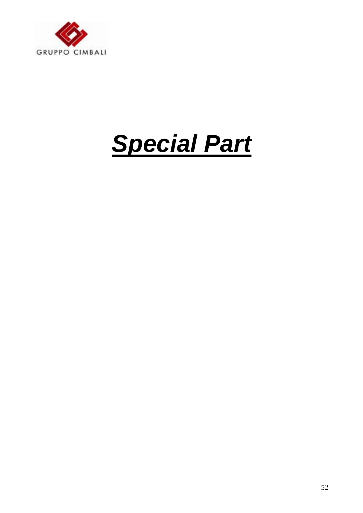

# *Special Part*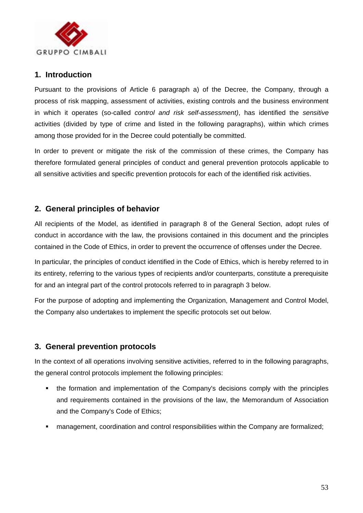

# **1. Introduction**

Pursuant to the provisions of Article 6 paragraph a) of the Decree, the Company, through a process of risk mapping, assessment of activities, existing controls and the business environment in which it operates (so-called *control and risk self-assessment)*, has identified the *sensitive*  activities (divided by type of crime and listed in the following paragraphs), within which crimes among those provided for in the Decree could potentially be committed.

In order to prevent or mitigate the risk of the commission of these crimes, the Company has therefore formulated general principles of conduct and general prevention protocols applicable to all sensitive activities and specific prevention protocols for each of the identified risk activities.

# **2. General principles of behavior**

All recipients of the Model, as identified in paragraph 8 of the General Section, adopt rules of conduct in accordance with the law, the provisions contained in this document and the principles contained in the Code of Ethics, in order to prevent the occurrence of offenses under the Decree.

In particular, the principles of conduct identified in the Code of Ethics, which is hereby referred to in its entirety, referring to the various types of recipients and/or counterparts, constitute a prerequisite for and an integral part of the control protocols referred to in paragraph [3](#page-48-0) below.

For the purpose of adopting and implementing the Organization, Management and Control Model, the Company also undertakes to implement the specific protocols set out below.

# <span id="page-48-0"></span>**3. General prevention protocols**

In the context of all operations involving sensitive activities, referred to in the following paragraphs, the general control protocols implement the following principles:

- the formation and implementation of the Company's decisions comply with the principles and requirements contained in the provisions of the law, the Memorandum of Association and the Company's Code of Ethics;
- management, coordination and control responsibilities within the Company are formalized;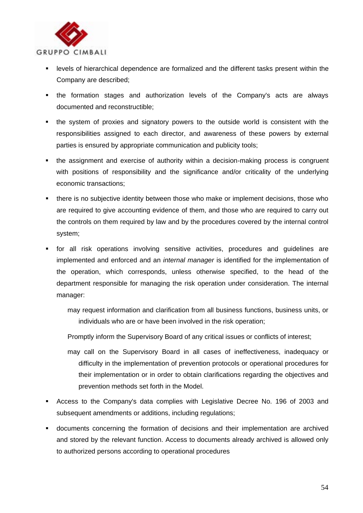

- **EXECT** levels of hierarchical dependence are formalized and the different tasks present within the Company are described;
- the formation stages and authorization levels of the Company's acts are always documented and reconstructible;
- the system of proxies and signatory powers to the outside world is consistent with the responsibilities assigned to each director, and awareness of these powers by external parties is ensured by appropriate communication and publicity tools;
- the assignment and exercise of authority within a decision-making process is congruent with positions of responsibility and the significance and/or criticality of the underlying economic transactions;
- there is no subjective identity between those who make or implement decisions, those who are required to give accounting evidence of them, and those who are required to carry out the controls on them required by law and by the procedures covered by the internal control system;
- **·** for all risk operations involving sensitive activities, procedures and guidelines are implemented and enforced and an *internal manager* is identified for the implementation of the operation, which corresponds, unless otherwise specified, to the head of the department responsible for managing the risk operation under consideration. The internal manager:
	- may request information and clarification from all business functions, business units, or individuals who are or have been involved in the risk operation;

Promptly inform the Supervisory Board of any critical issues or conflicts of interest;

- may call on the Supervisory Board in all cases of ineffectiveness, inadequacy or difficulty in the implementation of prevention protocols or operational procedures for their implementation or in order to obtain clarifications regarding the objectives and prevention methods set forth in the Model.
- Access to the Company's data complies with Legislative Decree No. 196 of 2003 and subsequent amendments or additions, including regulations;
- **EXEDENT** documents concerning the formation of decisions and their implementation are archived and stored by the relevant function. Access to documents already archived is allowed only to authorized persons according to operational procedures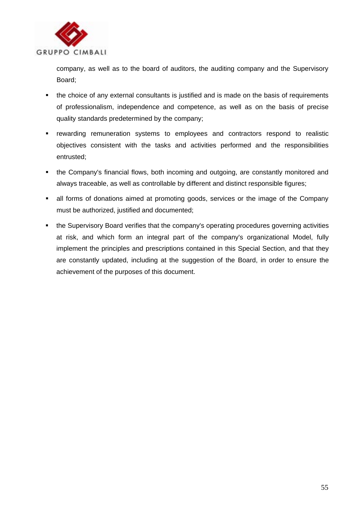

company, as well as to the board of auditors, the auditing company and the Supervisory Board;

- the choice of any external consultants is justified and is made on the basis of requirements of professionalism, independence and competence, as well as on the basis of precise quality standards predetermined by the company;
- rewarding remuneration systems to employees and contractors respond to realistic objectives consistent with the tasks and activities performed and the responsibilities entrusted;
- the Company's financial flows, both incoming and outgoing, are constantly monitored and always traceable, as well as controllable by different and distinct responsible figures;
- **EXECT** all forms of donations aimed at promoting goods, services or the image of the Company must be authorized, justified and documented;
- the Supervisory Board verifies that the company's operating procedures governing activities at risk, and which form an integral part of the company's organizational Model, fully implement the principles and prescriptions contained in this Special Section, and that they are constantly updated, including at the suggestion of the Board, in order to ensure the achievement of the purposes of this document.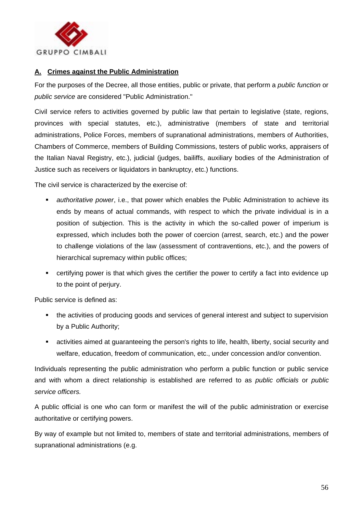

## **A. Crimes against the Public Administration**

For the purposes of the Decree, all those entities, public or private, that perform a *public function* or *public service* are considered "Public Administration."

Civil service refers to activities governed by public law that pertain to legislative (state, regions, provinces with special statutes, etc.), administrative (members of state and territorial administrations, Police Forces, members of supranational administrations, members of Authorities, Chambers of Commerce, members of Building Commissions, testers of public works, appraisers of the Italian Naval Registry, etc.), judicial (judges, bailiffs, auxiliary bodies of the Administration of Justice such as receivers or liquidators in bankruptcy, etc.) functions.

The civil service is characterized by the exercise of:

- **E** *authoritative power*, i.e., that power which enables the Public Administration to achieve its ends by means of actual commands, with respect to which the private individual is in a position of subjection. This is the activity in which the so-called power of imperium is expressed, which includes both the power of coercion (arrest, search, etc.) and the power to challenge violations of the law (assessment of contraventions, etc.), and the powers of hierarchical supremacy within public offices;
- certifying power is that which gives the certifier the power to certify a fact into evidence up to the point of perjury.

Public service is defined as:

- the activities of producing goods and services of general interest and subject to supervision by a Public Authority;
- **E** activities aimed at guaranteeing the person's rights to life, health, liberty, social security and welfare, education, freedom of communication, etc., under concession and/or convention.

Individuals representing the public administration who perform a public function or public service and with whom a direct relationship is established are referred to as *public officials* or *public service officers.*

A public official is one who can form or manifest the will of the public administration or exercise authoritative or certifying powers.

By way of example but not limited to, members of state and territorial administrations, members of supranational administrations (e.g.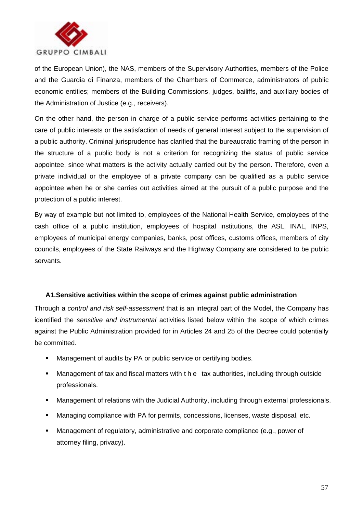

of the European Union), the NAS, members of the Supervisory Authorities, members of the Police and the Guardia di Finanza, members of the Chambers of Commerce, administrators of public economic entities; members of the Building Commissions, judges, bailiffs, and auxiliary bodies of the Administration of Justice (e.g., receivers).

On the other hand, the person in charge of a public service performs activities pertaining to the care of public interests or the satisfaction of needs of general interest subject to the supervision of a public authority. Criminal jurisprudence has clarified that the bureaucratic framing of the person in the structure of a public body is not a criterion for recognizing the status of public service appointee, since what matters is the activity actually carried out by the person. Therefore, even a private individual or the employee of a private company can be qualified as a public service appointee when he or she carries out activities aimed at the pursuit of a public purpose and the protection of a public interest.

By way of example but not limited to, employees of the National Health Service, employees of the cash office of a public institution, employees of hospital institutions, the ASL, INAL, INPS, employees of municipal energy companies, banks, post offices, customs offices, members of city councils, employees of the State Railways and the Highway Company are considered to be public servants.

#### **A1.Sensitive activities within the scope of crimes against public administration**

Through a *control and risk self-assessment* that is an integral part of the Model, the Company has identified the *sensitive and instrumental* activities listed below within the scope of which crimes against the Public Administration provided for in Articles 24 and 25 of the Decree could potentially be committed.

- Management of audits by PA or public service or certifying bodies.
- Management of tax and fiscal matters with t h e tax authorities, including through outside professionals.
- Management of relations with the Judicial Authority, including through external professionals.
- Managing compliance with PA for permits, concessions, licenses, waste disposal, etc.
- **■** Management of regulatory, administrative and corporate compliance (e.g., power of attorney filing, privacy).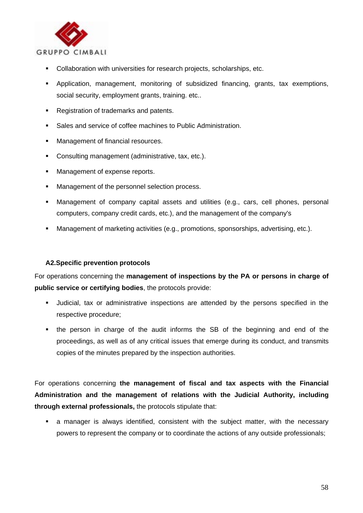

- Collaboration with universities for research projects, scholarships, etc.
- Application, management, monitoring of subsidized financing, grants, tax exemptions, social security, employment grants, training. etc..
- Registration of trademarks and patents.
- Sales and service of coffee machines to Public Administration.
- Management of financial resources.
- Consulting management (administrative, tax, etc.).
- Management of expense reports.
- Management of the personnel selection process.
- **■** Management of company capital assets and utilities (e.g., cars, cell phones, personal computers, company credit cards, etc.), and the management of the company's
- **■** Management of marketing activities (e.g., promotions, sponsorships, advertising, etc.).

#### **A2.Specific prevention protocols**

For operations concerning the **management of inspections by the PA or persons in charge of public service or certifying bodies**, the protocols provide:

- Judicial, tax or administrative inspections are attended by the persons specified in the respective procedure;
- the person in charge of the audit informs the SB of the beginning and end of the proceedings, as well as of any critical issues that emerge during its conduct, and transmits copies of the minutes prepared by the inspection authorities.

For operations concerning **the management of fiscal and tax aspects with the Financial Administration and the management of relations with the Judicial Authority, including through external professionals,** the protocols stipulate that:

**E** a manager is always identified, consistent with the subject matter, with the necessary powers to represent the company or to coordinate the actions of any outside professionals;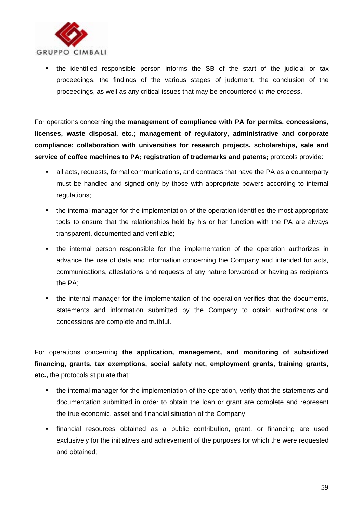

■ the identified responsible person informs the SB of the start of the judicial or tax proceedings, the findings of the various stages of judgment, the conclusion of the proceedings, as well as any critical issues that may be encountered *in the process*.

For operations concerning **the management of compliance with PA for permits, concessions, licenses, waste disposal, etc.; management of regulatory, administrative and corporate compliance; collaboration with universities for research projects, scholarships, sale and service of coffee machines to PA; registration of trademarks and patents;** protocols provide:

- **E** all acts, requests, formal communications, and contracts that have the PA as a counterparty must be handled and signed only by those with appropriate powers according to internal regulations;
- the internal manager for the implementation of the operation identifies the most appropriate tools to ensure that the relationships held by his or her function with the PA are always transparent, documented and verifiable;
- **.** the internal person responsible for the implementation of the operation authorizes in advance the use of data and information concerning the Company and intended for acts, communications, attestations and requests of any nature forwarded or having as recipients the PA;
- the internal manager for the implementation of the operation verifies that the documents, statements and information submitted by the Company to obtain authorizations or concessions are complete and truthful.

For operations concerning **the application, management, and monitoring of subsidized financing, grants, tax exemptions, social safety net, employment grants, training grants, etc.,** the protocols stipulate that:

- the internal manager for the implementation of the operation, verify that the statements and documentation submitted in order to obtain the loan or grant are complete and represent the true economic, asset and financial situation of the Company;
- **E** financial resources obtained as a public contribution, grant, or financing are used exclusively for the initiatives and achievement of the purposes for which the were requested and obtained;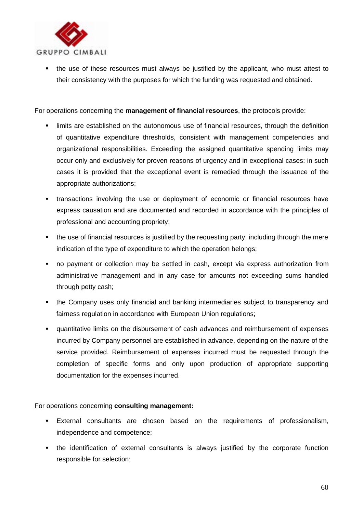

■ the use of these resources must always be justified by the applicant, who must attest to their consistency with the purposes for which the funding was requested and obtained.

For operations concerning the **management of financial resources**, the protocols provide:

- **.** limits are established on the autonomous use of financial resources, through the definition of quantitative expenditure thresholds, consistent with management competencies and organizational responsibilities. Exceeding the assigned quantitative spending limits may occur only and exclusively for proven reasons of urgency and in exceptional cases: in such cases it is provided that the exceptional event is remedied through the issuance of the appropriate authorizations;
- transactions involving the use or deployment of economic or financial resources have express causation and are documented and recorded in accordance with the principles of professional and accounting propriety;
- the use of financial resources is justified by the requesting party, including through the mere indication of the type of expenditure to which the operation belongs;
- no payment or collection may be settled in cash, except via express authorization from administrative management and in any case for amounts not exceeding sums handled through petty cash;
- the Company uses only financial and banking intermediaries subject to transparency and fairness regulation in accordance with European Union regulations;
- quantitative limits on the disbursement of cash advances and reimbursement of expenses incurred by Company personnel are established in advance, depending on the nature of the service provided. Reimbursement of expenses incurred must be requested through the completion of specific forms and only upon production of appropriate supporting documentation for the expenses incurred.

For operations concerning **consulting management:**

- External consultants are chosen based on the requirements of professionalism, independence and competence;
- **.** the identification of external consultants is always justified by the corporate function responsible for selection;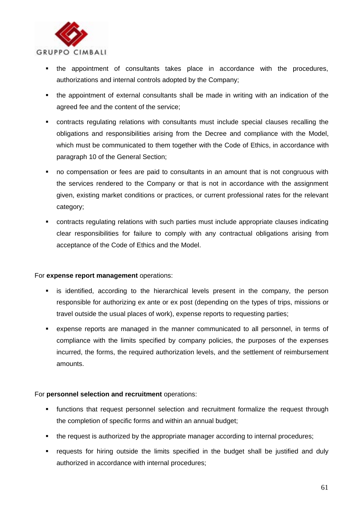

- the appointment of consultants takes place in accordance with the procedures, authorizations and internal controls adopted by the Company;
- **•** the appointment of external consultants shall be made in writing with an indication of the agreed fee and the content of the service;
- contracts regulating relations with consultants must include special clauses recalling the obligations and responsibilities arising from the Decree and compliance with the Model, which must be communicated to them together with the Code of Ethics, in accordance with paragraph 10 of the General Section;
- no compensation or fees are paid to consultants in an amount that is not congruous with the services rendered to the Company or that is not in accordance with the assignment given, existing market conditions or practices, or current professional rates for the relevant category;
- **•** contracts regulating relations with such parties must include appropriate clauses indicating clear responsibilities for failure to comply with any contractual obligations arising from acceptance of the Code of Ethics and the Model.

#### For **expense report management** operations:

- **E** is identified, according to the hierarchical levels present in the company, the person responsible for authorizing ex ante or ex post (depending on the types of trips, missions or travel outside the usual places of work), expense reports to requesting parties;
- expense reports are managed in the manner communicated to all personnel, in terms of compliance with the limits specified by company policies, the purposes of the expenses incurred, the forms, the required authorization levels, and the settlement of reimbursement amounts.

## For **personnel selection and recruitment** operations:

- **•** functions that request personnel selection and recruitment formalize the request through the completion of specific forms and within an annual budget;
- the request is authorized by the appropriate manager according to internal procedures;
- requests for hiring outside the limits specified in the budget shall be justified and duly authorized in accordance with internal procedures;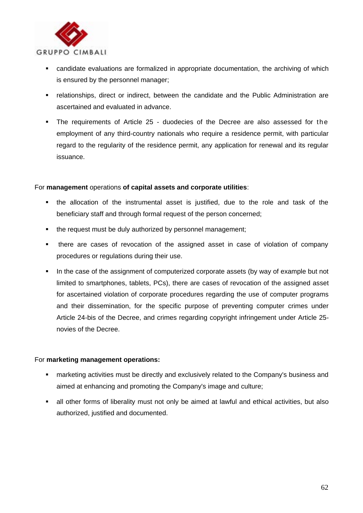

- **•** candidate evaluations are formalized in appropriate documentation, the archiving of which is ensured by the personnel manager;
- **•** relationships, direct or indirect, between the candidate and the Public Administration are ascertained and evaluated in advance.
- The requirements of Article 25 duodecies of the Decree are also assessed for the employment of any third-country nationals who require a residence permit, with particular regard to the regularity of the residence permit, any application for renewal and its regular issuance.

#### For **management** operations **of capital assets and corporate utilities**:

- **.** the allocation of the instrumental asset is justified, due to the role and task of the beneficiary staff and through formal request of the person concerned;
- the request must be duly authorized by personnel management;
- there are cases of revocation of the assigned asset in case of violation of company procedures or regulations during their use.
- In the case of the assignment of computerized corporate assets (by way of example but not limited to smartphones, tablets, PCs), there are cases of revocation of the assigned asset for ascertained violation of corporate procedures regarding the use of computer programs and their dissemination, for the specific purpose of preventing computer crimes under Article 24-bis of the Decree, and crimes regarding copyright infringement under Article 25 novies of the Decree.

#### For **marketing management operations:**

- **EXT** marketing activities must be directly and exclusively related to the Company's business and aimed at enhancing and promoting the Company's image and culture;
- all other forms of liberality must not only be aimed at lawful and ethical activities, but also authorized, justified and documented.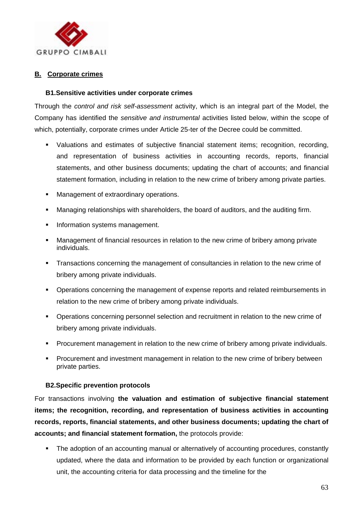

## **B. Corporate crimes**

#### **B1.Sensitive activities under corporate crimes**

Through the *control and risk self-assessment* activity, which is an integral part of the Model, the Company has identified the *sensitive and instrumental* activities listed below, within the scope of which, potentially, corporate crimes under Article 25-ter of the Decree could be committed.

- Valuations and estimates of subjective financial statement items; recognition, recording, and representation of business activities in accounting records, reports, financial statements, and other business documents; updating the chart of accounts; and financial statement formation, including in relation to the new crime of bribery among private parties.
- Management of extraordinary operations.
- Managing relationships with shareholders, the board of auditors, and the auditing firm.
- **■** Information systems management.
- Management of financial resources in relation to the new crime of bribery among private individuals.
- **Transactions concerning the management of consultancies in relation to the new crime of** bribery among private individuals.
- Operations concerning the management of expense reports and related reimbursements in relation to the new crime of bribery among private individuals.
- Operations concerning personnel selection and recruitment in relation to the new crime of bribery among private individuals.
- Procurement management in relation to the new crime of bribery among private individuals.
- Procurement and investment management in relation to the new crime of bribery between private parties.

## **B2.Specific prevention protocols**

For transactions involving **the valuation and estimation of subjective financial statement items; the recognition, recording, and representation of business activities in accounting records, reports, financial statements, and other business documents; updating the chart of accounts; and financial statement formation,** the protocols provide:

• The adoption of an accounting manual or alternatively of accounting procedures, constantly updated, where the data and information to be provided by each function or organizational unit, the accounting criteria for data processing and the timeline for the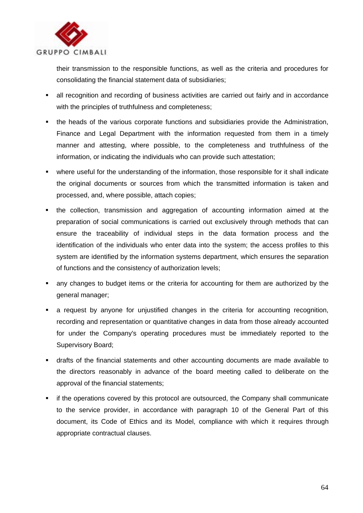

their transmission to the responsible functions, as well as the criteria and procedures for consolidating the financial statement data of subsidiaries;

- **EXECO all recognition and recording of business activities are carried out fairly and in accordance** with the principles of truthfulness and completeness;
- the heads of the various corporate functions and subsidiaries provide the Administration, Finance and Legal Department with the information requested from them in a timely manner and attesting, where possible, to the completeness and truthfulness of the information, or indicating the individuals who can provide such attestation;
- where useful for the understanding of the information, those responsible for it shall indicate the original documents or sources from which the transmitted information is taken and processed, and, where possible, attach copies;
- the collection, transmission and aggregation of accounting information aimed at the preparation of social communications is carried out exclusively through methods that can ensure the traceability of individual steps in the data formation process and the identification of the individuals who enter data into the system; the access profiles to this system are identified by the information systems department, which ensures the separation of functions and the consistency of authorization levels;
- any changes to budget items or the criteria for accounting for them are authorized by the general manager;
- a request by anyone for unjustified changes in the criteria for accounting recognition, recording and representation or quantitative changes in data from those already accounted for under the Company's operating procedures must be immediately reported to the Supervisory Board;
- drafts of the financial statements and other accounting documents are made available to the directors reasonably in advance of the board meeting called to deliberate on the approval of the financial statements;
- if the operations covered by this protocol are outsourced, the Company shall communicate to the service provider, in accordance with paragraph 10 of the General Part of this document, its Code of Ethics and its Model, compliance with which it requires through appropriate contractual clauses.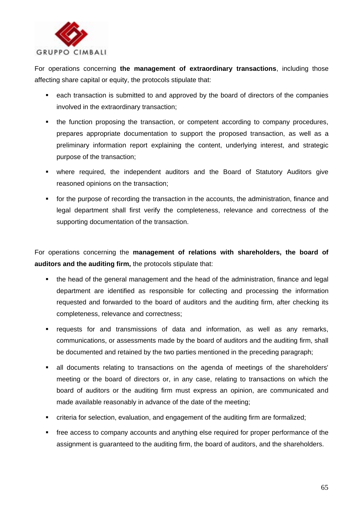

For operations concerning **the management of extraordinary transactions**, including those affecting share capital or equity, the protocols stipulate that:

- each transaction is submitted to and approved by the board of directors of the companies involved in the extraordinary transaction;
- **•** the function proposing the transaction, or competent according to company procedures, prepares appropriate documentation to support the proposed transaction, as well as a preliminary information report explaining the content, underlying interest, and strategic purpose of the transaction;
- where required, the independent auditors and the Board of Statutory Auditors give reasoned opinions on the transaction;
- **•** for the purpose of recording the transaction in the accounts, the administration, finance and legal department shall first verify the completeness, relevance and correctness of the supporting documentation of the transaction.

For operations concerning the **management of relations with shareholders, the board of auditors and the auditing firm,** the protocols stipulate that:

- the head of the general management and the head of the administration, finance and legal department are identified as responsible for collecting and processing the information requested and forwarded to the board of auditors and the auditing firm, after checking its completeness, relevance and correctness;
- requests for and transmissions of data and information, as well as any remarks, communications, or assessments made by the board of auditors and the auditing firm, shall be documented and retained by the two parties mentioned in the preceding paragraph;
- all documents relating to transactions on the agenda of meetings of the shareholders' meeting or the board of directors or, in any case, relating to transactions on which the board of auditors or the auditing firm must express an opinion, are communicated and made available reasonably in advance of the date of the meeting;
- criteria for selection, evaluation, and engagement of the auditing firm are formalized;
- free access to company accounts and anything else required for proper performance of the assignment is guaranteed to the auditing firm, the board of auditors, and the shareholders.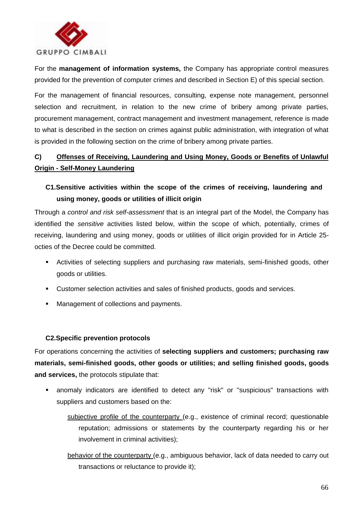

For the **management of information systems,** the Company has appropriate control measures provided for the prevention of computer crimes and described in Section E) of this special section.

For the management of financial resources, consulting, expense note management, personnel selection and recruitment, in relation to the new crime of bribery among private parties, procurement management, contract management and investment management, reference is made to what is described in the section on crimes against public administration, with integration of what is provided in the following section on the crime of bribery among private parties.

# **C) Offenses of Receiving, Laundering and Using Money, Goods or Benefits of Unlawful Origin - Self-Money Laundering**

# **C1.Sensitive activities within the scope of the crimes of receiving, laundering and using money, goods or utilities of illicit origin**

Through a *control and risk self-assessment* that is an integral part of the Model, the Company has identified the *sensitive* activities listed below, within the scope of which, potentially, crimes of receiving, laundering and using money, goods or utilities of illicit origin provided for in Article 25 octies of the Decree could be committed.

- **EXECT** Activities of selecting suppliers and purchasing raw materials, semi-finished goods, other goods or utilities.
- Customer selection activities and sales of finished products, goods and services.
- Management of collections and payments.

## **C2.Specific prevention protocols**

For operations concerning the activities of **selecting suppliers and customers; purchasing raw materials, semi-finished goods, other goods or utilities; and selling finished goods, goods and services,** the protocols stipulate that:

- **E** anomaly indicators are identified to detect any "risk" or "suspicious" transactions with suppliers and customers based on the:
	- subjective profile of the counterparty (e.g., existence of criminal record; questionable reputation; admissions or statements by the counterparty regarding his or her involvement in criminal activities);
	- behavior of the counterparty (e.g., ambiguous behavior, lack of data needed to carry out transactions or reluctance to provide it);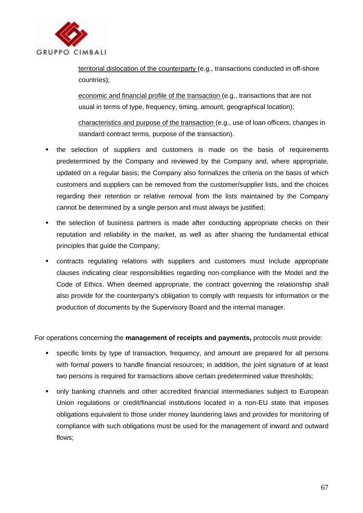

territorial dislocation of the counterparty (e.g., transactions conducted in off-shore countries);

economic and financial profile of the transaction (e.g., transactions that are not usual in terms of type, frequency, timing, amount, geographical location);

characteristics and purpose of the transaction (e.g., use of loan officers, changes in standard contract terms, purpose of the transaction).

- the selection of suppliers and customers is made on the basis of requirements predetermined by the Company and reviewed by the Company and, where appropriate, updated on a regular basis; the Company also formalizes the criteria on the basis of which customers and suppliers can be removed from the customer/supplier lists, and the choices regarding their retention or relative removal from the lists maintained by the Company cannot be determined by a single person and must always be justified;
- **.** the selection of business partners is made after conducting appropriate checks on their reputation and reliability in the market, as well as after sharing the fundamental ethical principles that guide the Company;
- **•** contracts regulating relations with suppliers and customers must include appropriate clauses indicating clear responsibilities regarding non-compliance with the Model and the Code of Ethics. When deemed appropriate, the contract governing the relationship shall also provide for the counterparty's obligation to comply with requests for information or the production of documents by the Supervisory Board and the internal manager.

For operations concerning the **management of receipts and payments,** protocols must provide:

- **EX Specific limits by type of transaction, frequency, and amount are prepared for all persons** with formal powers to handle financial resources; in addition, the joint signature of at least two persons is required for transactions above certain predetermined value thresholds;
- only banking channels and other accredited financial intermediaries subject to European Union regulations or credit/financial institutions located in a non-EU state that imposes obligations equivalent to those under money laundering laws and provides for monitoring of compliance with such obligations must be used for the management of inward and outward flows;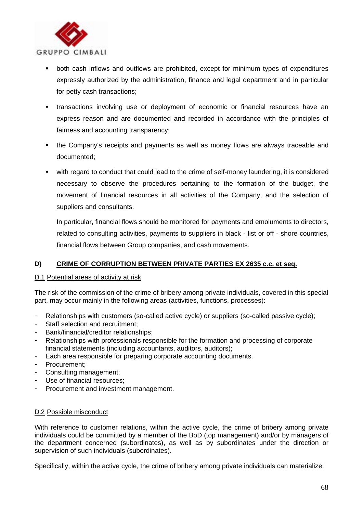

- both cash inflows and outflows are prohibited, except for minimum types of expenditures expressly authorized by the administration, finance and legal department and in particular for petty cash transactions;
- **■** transactions involving use or deployment of economic or financial resources have an express reason and are documented and recorded in accordance with the principles of fairness and accounting transparency;
- the Company's receipts and payments as well as money flows are always traceable and documented;
- with regard to conduct that could lead to the crime of self-money laundering, it is considered necessary to observe the procedures pertaining to the formation of the budget, the movement of financial resources in all activities of the Company, and the selection of suppliers and consultants.

In particular, financial flows should be monitored for payments and emoluments to directors, related to consulting activities, payments to suppliers in black - list or off - shore countries, financial flows between Group companies, and cash movements.

## **D) CRIME OF CORRUPTION BETWEEN PRIVATE PARTIES EX 2635 c.c. et seq.**

#### D.1 Potential areas of activity at risk

The risk of the commission of the crime of bribery among private individuals, covered in this special part, may occur mainly in the following areas (activities, functions, processes):

- Relationships with customers (so-called active cycle) or suppliers (so-called passive cycle);
- Staff selection and recruitment:
- Bank/financial/creditor relationships;
- Relationships with professionals responsible for the formation and processing of corporate financial statements (including accountants, auditors, auditors);
- Each area responsible for preparing corporate accounting documents.
- Procurement;
- Consulting management;
- Use of financial resources;
- Procurement and investment management.

#### D.2 Possible misconduct

With reference to customer relations, within the active cycle, the crime of bribery among private individuals could be committed by a member of the BoD (top management) and/or by managers of the department concerned (subordinates), as well as by subordinates under the direction or supervision of such individuals (subordinates).

Specifically, within the active cycle, the crime of bribery among private individuals can materialize: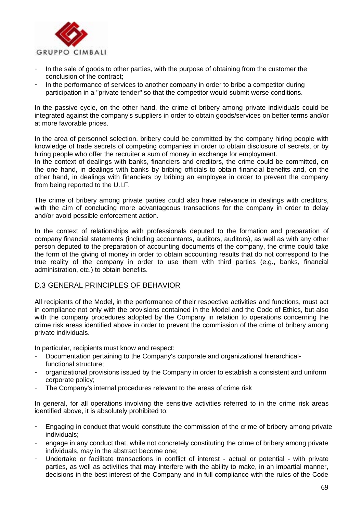

- In the sale of goods to other parties, with the purpose of obtaining from the customer the conclusion of the contract;
- In the performance of services to another company in order to bribe a competitor during participation in a "private tender" so that the competitor would submit worse conditions.

In the passive cycle, on the other hand, the crime of bribery among private individuals could be integrated against the company's suppliers in order to obtain goods/services on better terms and/or at more favorable prices.

In the area of personnel selection, bribery could be committed by the company hiring people with knowledge of trade secrets of competing companies in order to obtain disclosure of secrets, or by hiring people who offer the recruiter a sum of money in exchange for employment.

In the context of dealings with banks, financiers and creditors, the crime could be committed, on the one hand, in dealings with banks by bribing officials to obtain financial benefits and, on the other hand, in dealings with financiers by bribing an employee in order to prevent the company from being reported to the U.I.F.

The crime of bribery among private parties could also have relevance in dealings with creditors, with the aim of concluding more advantageous transactions for the company in order to delay and/or avoid possible enforcement action.

In the context of relationships with professionals deputed to the formation and preparation of company financial statements (including accountants, auditors, auditors), as well as with any other person deputed to the preparation of accounting documents of the company, the crime could take the form of the giving of money in order to obtain accounting results that do not correspond to the true reality of the company in order to use them with third parties (e.g., banks, financial administration, etc.) to obtain benefits.

## D.3 GENERAL PRINCIPLES OF BEHAVIOR

All recipients of the Model, in the performance of their respective activities and functions, must act in compliance not only with the provisions contained in the Model and the Code of Ethics, but also with the company procedures adopted by the Company in relation to operations concerning the crime risk areas identified above in order to prevent the commission of the crime of bribery among private individuals.

In particular, recipients must know and respect:

- Documentation pertaining to the Company's corporate and organizational hierarchicalfunctional structure;
- organizational provisions issued by the Company in order to establish a consistent and uniform corporate policy;
- The Company's internal procedures relevant to the areas of crime risk

In general, for all operations involving the sensitive activities referred to in the crime risk areas identified above, it is absolutely prohibited to:

- Engaging in conduct that would constitute the commission of the crime of bribery among private individuals;
- engage in any conduct that, while not concretely constituting the crime of bribery among private individuals, may in the abstract become one;
- Undertake or facilitate transactions in conflict of interest actual or potential with private parties, as well as activities that may interfere with the ability to make, in an impartial manner, decisions in the best interest of the Company and in full compliance with the rules of the Code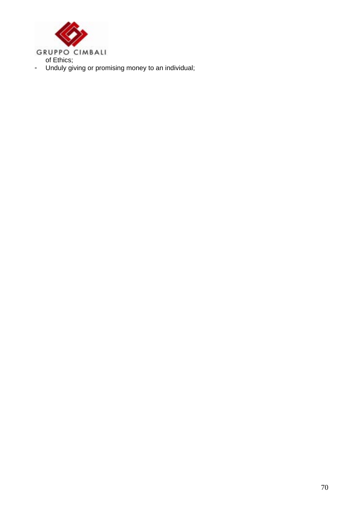

- Unduly giving or promising money to an individual;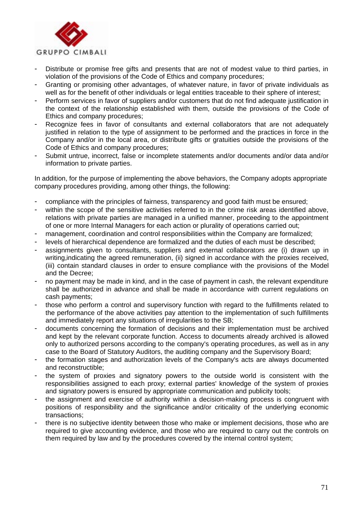

- Distribute or promise free gifts and presents that are not of modest value to third parties, in violation of the provisions of the Code of Ethics and company procedures;
- Granting or promising other advantages, of whatever nature, in favor of private individuals as well as for the benefit of other individuals or legal entities traceable to their sphere of interest;
- Perform services in favor of suppliers and/or customers that do not find adequate justification in the context of the relationship established with them, outside the provisions of the Code of Ethics and company procedures;
- Recognize fees in favor of consultants and external collaborators that are not adequately justified in relation to the type of assignment to be performed and the practices in force in the Company and/or in the local area, or distribute gifts or gratuities outside the provisions of the Code of Ethics and company procedures;
- Submit untrue, incorrect, false or incomplete statements and/or documents and/or data and/or information to private parties.

In addition, for the purpose of implementing the above behaviors, the Company adopts appropriate company procedures providing, among other things, the following:

- compliance with the principles of fairness, transparency and good faith must be ensured;
- within the scope of the sensitive activities referred to in the crime risk areas identified above, relations with private parties are managed in a unified manner, proceeding to the appointment of one or more Internal Managers for each action or plurality of operations carried out;
- management, coordination and control responsibilities within the Company are formalized;
- levels of hierarchical dependence are formalized and the duties of each must be described;
- assignments given to consultants, suppliers and external collaborators are (i) drawn up in writing, indicating the agreed remuneration, (ii) signed in accordance with the proxies received, (iii) contain standard clauses in order to ensure compliance with the provisions of the Model and the Decree;
- no payment may be made in kind, and in the case of payment in cash, the relevant expenditure shall be authorized in advance and shall be made in accordance with current regulations on cash payments;
- those who perform a control and supervisory function with regard to the fulfillments related to the performance of the above activities pay attention to the implementation of such fulfillments and immediately report any situations of irregularities to the SB;
- documents concerning the formation of decisions and their implementation must be archived and kept by the relevant corporate function. Access to documents already archived is allowed only to authorized persons according to the company's operating procedures, as well as in any case to the Board of Statutory Auditors, the auditing company and the Supervisory Board;
- the formation stages and authorization levels of the Company's acts are always documented and reconstructible;
- the system of proxies and signatory powers to the outside world is consistent with the responsibilities assigned to each proxy; external parties' knowledge of the system of proxies and signatory powers is ensured by appropriate communication and publicity tools;
- the assignment and exercise of authority within a decision-making process is congruent with positions of responsibility and the significance and/or criticality of the underlying economic transactions;
- there is no subjective identity between those who make or implement decisions, those who are required to give accounting evidence, and those who are required to carry out the controls on them required by law and by the procedures covered by the internal control system;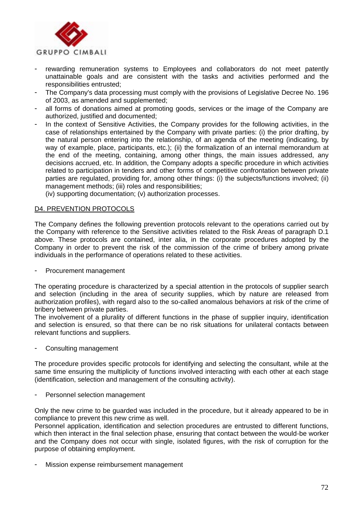

- rewarding remuneration systems to Employees and collaborators do not meet patently unattainable goals and are consistent with the tasks and activities performed and the responsibilities entrusted;
- The Company's data processing must comply with the provisions of Legislative Decree No. 196 of 2003, as amended and supplemented;
- all forms of donations aimed at promoting goods, services or the image of the Company are authorized, justified and documented;
- In the context of Sensitive Activities, the Company provides for the following activities, in the case of relationships entertained by the Company with private parties: (i) the prior drafting, by the natural person entering into the relationship, of an agenda of the meeting (indicating, by way of example, place, participants, etc.); (ii) the formalization of an internal memorandum at the end of the meeting, containing, among other things, the main issues addressed, any decisions accrued, etc. In addition, the Company adopts a specific procedure in which activities related to participation in tenders and other forms of competitive confrontation between private parties are regulated, providing for, among other things: (i) the subjects/functions involved; (ii) management methods; (iii) roles and responsibilities;

(iv) supporting documentation; (v) authorization processes.

#### D4. PREVENTION PROTOCOLS

The Company defines the following prevention protocols relevant to the operations carried out by the Company with reference to the Sensitive activities related to the Risk Areas of paragraph D.1 above. These protocols are contained, inter alia, in the corporate procedures adopted by the Company in order to prevent the risk of the commission of the crime of bribery among private individuals in the performance of operations related to these activities.

- Procurement management

The operating procedure is characterized by a special attention in the protocols of supplier search and selection (including in the area of security supplies, which by nature are released from authorization profiles), with regard also to the so-called anomalous behaviors at risk of the crime of bribery between private parties.

The involvement of a plurality of different functions in the phase of supplier inquiry, identification and selection is ensured, so that there can be no risk situations for unilateral contacts between relevant functions and suppliers.

- Consulting management

The procedure provides specific protocols for identifying and selecting the consultant, while at the same time ensuring the multiplicity of functions involved interacting with each other at each stage (identification, selection and management of the consulting activity).

Personnel selection management

Only the new crime to be guarded was included in the procedure, but it already appeared to be in compliance to prevent this new crime as well.

Personnel application, identification and selection procedures are entrusted to different functions, which then interact in the final selection phase, ensuring that contact between the would-be worker and the Company does not occur with single, isolated figures, with the risk of corruption for the purpose of obtaining employment.

Mission expense reimbursement management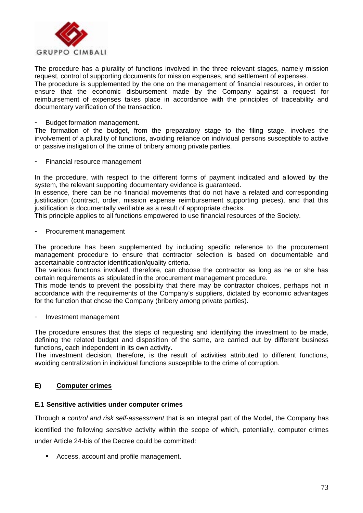

The procedure has a plurality of functions involved in the three relevant stages, namely mission request, control of supporting documents for mission expenses, and settlement of expenses.

The procedure is supplemented by the one on the management of financial resources, in order to ensure that the economic disbursement made by the Company against a request for reimbursement of expenses takes place in accordance with the principles of traceability and documentary verification of the transaction.

#### Budget formation management.

The formation of the budget, from the preparatory stage to the filing stage, involves the involvement of a plurality of functions, avoiding reliance on individual persons susceptible to active or passive instigation of the crime of bribery among private parties.

- Financial resource management

In the procedure, with respect to the different forms of payment indicated and allowed by the system, the relevant supporting documentary evidence is guaranteed.

In essence, there can be no financial movements that do not have a related and corresponding iustification (contract, order, mission expense reimbursement supporting pieces), and that this justification is documentally verifiable as a result of appropriate checks.

This principle applies to all functions empowered to use financial resources of the Society.

- Procurement management

The procedure has been supplemented by including specific reference to the procurement management procedure to ensure that contractor selection is based on documentable and ascertainable contractor identification/quality criteria.

The various functions involved, therefore, can choose the contractor as long as he or she has certain requirements as stipulated in the procurement management procedure.

This mode tends to prevent the possibility that there may be contractor choices, perhaps not in accordance with the requirements of the Company's suppliers, dictated by economic advantages for the function that chose the Company (bribery among private parties).

- Investment management

The procedure ensures that the steps of requesting and identifying the investment to be made, defining the related budget and disposition of the same, are carried out by different business functions, each independent in its own activity.

The investment decision, therefore, is the result of activities attributed to different functions, avoiding centralization in individual functions susceptible to the crime of corruption.

#### **E) Computer crimes**

#### **E.1 Sensitive activities under computer crimes**

Through a *control and risk self-assessment* that is an integral part of the Model, the Company has identified the following *sensitive* activity within the scope of which, potentially, computer crimes under Article 24-bis of the Decree could be committed:

■ Access, account and profile management.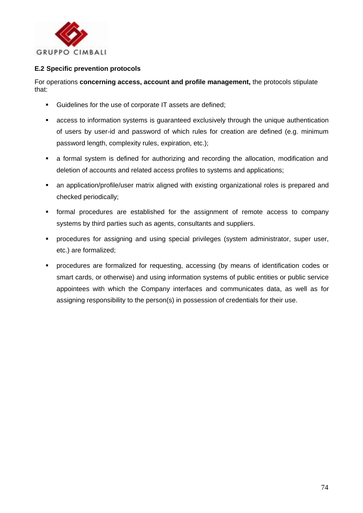

## **E.2 Specific prevention protocols**

For operations **concerning access, account and profile management,** the protocols stipulate that:

- Guidelines for the use of corporate IT assets are defined;
- access to information systems is guaranteed exclusively through the unique authentication of users by user-id and password of which rules for creation are defined (e.g. minimum password length, complexity rules, expiration, etc.);
- **EXT** a formal system is defined for authorizing and recording the allocation, modification and deletion of accounts and related access profiles to systems and applications;
- **■** an application/profile/user matrix aligned with existing organizational roles is prepared and checked periodically;
- formal procedures are established for the assignment of remote access to company systems by third parties such as agents, consultants and suppliers.
- **•** procedures for assigning and using special privileges (system administrator, super user, etc.) are formalized;
- procedures are formalized for requesting, accessing (by means of identification codes or smart cards, or otherwise) and using information systems of public entities or public service appointees with which the Company interfaces and communicates data, as well as for assigning responsibility to the person(s) in possession of credentials for their use.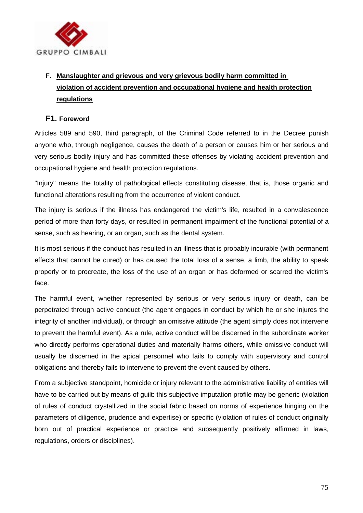

# **F. Manslaughter and grievous and very grievous bodily harm committed in violation of accident prevention and occupational hygiene and health protection regulations**

## **F1. Foreword**

Articles 589 and 590, third paragraph, of the Criminal Code referred to in the Decree punish anyone who, through negligence, causes the death of a person or causes him or her serious and very serious bodily injury and has committed these offenses by violating accident prevention and occupational hygiene and health protection regulations.

"Injury" means the totality of pathological effects constituting disease, that is, those organic and functional alterations resulting from the occurrence of violent conduct.

The injury is serious if the illness has endangered the victim's life, resulted in a convalescence period of more than forty days, or resulted in permanent impairment of the functional potential of a sense, such as hearing, or an organ, such as the dental system.

It is most serious if the conduct has resulted in an illness that is probably incurable (with permanent effects that cannot be cured) or has caused the total loss of a sense, a limb, the ability to speak properly or to procreate, the loss of the use of an organ or has deformed or scarred the victim's face.

The harmful event, whether represented by serious or very serious injury or death, can be perpetrated through active conduct (the agent engages in conduct by which he or she injures the integrity of another individual), or through an omissive attitude (the agent simply does not intervene to prevent the harmful event). As a rule, active conduct will be discerned in the subordinate worker who directly performs operational duties and materially harms others, while omissive conduct will usually be discerned in the apical personnel who fails to comply with supervisory and control obligations and thereby fails to intervene to prevent the event caused by others.

From a subjective standpoint, homicide or injury relevant to the administrative liability of entities will have to be carried out by means of guilt: this subjective imputation profile may be generic (violation of rules of conduct crystallized in the social fabric based on norms of experience hinging on the parameters of diligence, prudence and expertise) or specific (violation of rules of conduct originally born out of practical experience or practice and subsequently positively affirmed in laws, regulations, orders or disciplines).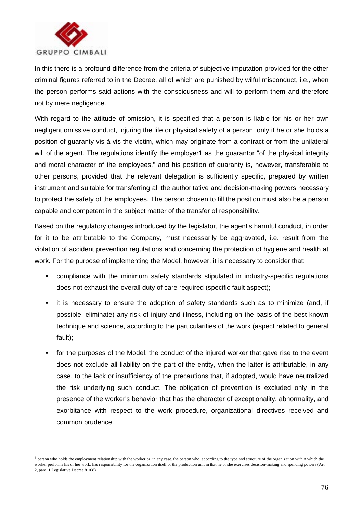

In this there is a profound difference from the criteria of subjective imputation provided for the other criminal figures referred to in the Decree, all of which are punished by wilful misconduct, i.e., when the person performs said actions with the consciousness and will to perform them and therefore not by mere negligence.

With regard to the attitude of omission, it is specified that a person is liable for his or her own negligent omissive conduct, injuring the life or physical safety of a person, only if he or she holds a position of guaranty vis-à-vis the victim, which may originate from a contract or from the unilateral will of the agent. The regulations identify the employer1 as the guarantor "of the physical integrity and moral character of the employees," and his position of guaranty is, however, transferable to other persons, provided that the relevant delegation is sufficiently specific, prepared by written instrument and suitable for transferring all the authoritative and decision-making powers necessary to protect the safety of the employees. The person chosen to fill the position must also be a person capable and competent in the subject matter of the transfer of responsibility.

Based on the regulatory changes introduced by the legislator, the agent's harmful conduct, in order for it to be attributable to the Company, must necessarily be aggravated, i.e. result from the violation of accident prevention regulations and concerning the protection of hygiene and health at work. For the purpose of implementing the Model, however, it is necessary to consider that:

- compliance with the minimum safety standards stipulated in industry-specific regulations does not exhaust the overall duty of care required (specific fault aspect);
- it is necessary to ensure the adoption of safety standards such as to minimize (and, if possible, eliminate) any risk of injury and illness, including on the basis of the best known technique and science, according to the particularities of the work (aspect related to general fault);
- for the purposes of the Model, the conduct of the injured worker that gave rise to the event does not exclude all liability on the part of the entity, when the latter is attributable, in any case, to the lack or insufficiency of the precautions that, if adopted, would have neutralized the risk underlying such conduct. The obligation of prevention is excluded only in the presence of the worker's behavior that has the character of exceptionality, abnormality, and exorbitance with respect to the work procedure, organizational directives received and common prudence.

 $<sup>1</sup>$  person who holds the employment relationship with the worker or, in any case, the person who, according to the type and structure of the organization within which the</sup> worker performs his or her work, has responsibility for the organization itself or the production unit in that he or she exercises decision-making and spending powers (Art. 2, para. 1 Legislative Decree 81/08).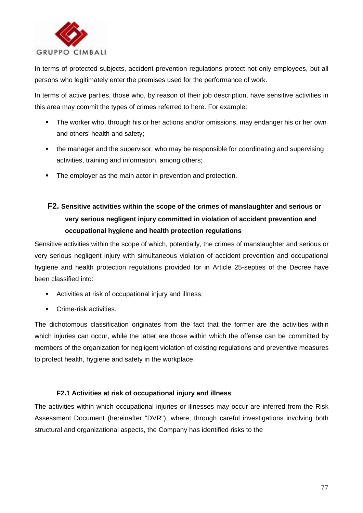

In terms of protected subjects, accident prevention regulations protect not only employees, but all persons who legitimately enter the premises used for the performance of work.

In terms of active parties, those who, by reason of their job description, have sensitive activities in this area may commit the types of crimes referred to here. For example:

- The worker who, through his or her actions and/or omissions, may endanger his or her own and others' health and safety;
- the manager and the supervisor, who may be responsible for coordinating and supervising activities, training and information, among others;
- **The employer as the main actor in prevention and protection.**

# **F2. Sensitive activities within the scope of the crimes of manslaughter and serious or very serious negligent injury committed in violation of accident prevention and occupational hygiene and health protection regulations**

Sensitive activities within the scope of which, potentially, the crimes of manslaughter and serious or very serious negligent injury with simultaneous violation of accident prevention and occupational hygiene and health protection regulations provided for in Article 25-septies of the Decree have been classified into:

- Activities at risk of occupational injury and illness;
- Crime-risk activities.

The dichotomous classification originates from the fact that the former are the activities within which injuries can occur, while the latter are those within which the offense can be committed by members of the organization for negligent violation of existing regulations and preventive measures to protect health, hygiene and safety in the workplace.

## **F2.1 Activities at risk of occupational injury and illness**

The activities within which occupational injuries or illnesses may occur are inferred from the Risk Assessment Document (hereinafter "DVR"), where, through careful investigations involving both structural and organizational aspects, the Company has identified risks to the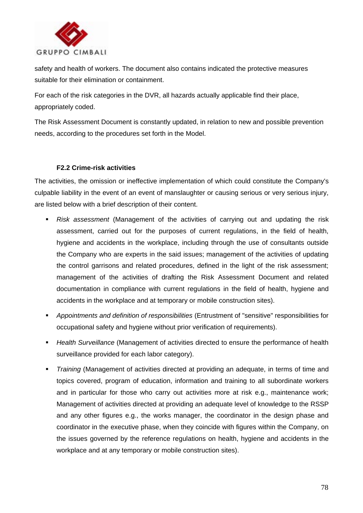

safety and health of workers. The document also contains indicated the protective measures suitable for their elimination or containment.

For each of the risk categories in the DVR, all hazards actually applicable find their place, appropriately coded.

The Risk Assessment Document is constantly updated, in relation to new and possible prevention needs, according to the procedures set forth in the Model.

## **F2.2 Crime-risk activities**

The activities, the omission or ineffective implementation of which could constitute the Company's culpable liability in the event of an event of manslaughter or causing serious or very serious injury, are listed below with a brief description of their content.

- *Risk assessment* (Management of the activities of carrying out and updating the risk assessment, carried out for the purposes of current regulations, in the field of health, hygiene and accidents in the workplace, including through the use of consultants outside the Company who are experts in the said issues; management of the activities of updating the control garrisons and related procedures, defined in the light of the risk assessment; management of the activities of drafting the Risk Assessment Document and related documentation in compliance with current regulations in the field of health, hygiene and accidents in the workplace and at temporary or mobile construction sites).
- *Appointments and definition of responsibilities* (Entrustment of "sensitive" responsibilities for occupational safety and hygiene without prior verification of requirements).
- **EXT** Health Surveillance (Management of activities directed to ensure the performance of health surveillance provided for each labor category).
- **Training (Management of activities directed at providing an adequate, in terms of time and** topics covered, program of education, information and training to all subordinate workers and in particular for those who carry out activities more at risk e.g., maintenance work; Management of activities directed at providing an adequate level of knowledge to the RSSP and any other figures e.g., the works manager, the coordinator in the design phase and coordinator in the executive phase, when they coincide with figures within the Company, on the issues governed by the reference regulations on health, hygiene and accidents in the workplace and at any temporary or mobile construction sites).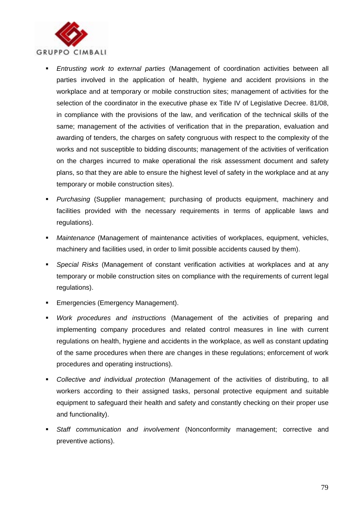

- *Entrusting work to external parties* (Management of coordination activities between all parties involved in the application of health, hygiene and accident provisions in the workplace and at temporary or mobile construction sites; management of activities for the selection of the coordinator in the executive phase ex Title IV of Legislative Decree. 81/08, in compliance with the provisions of the law, and verification of the technical skills of the same; management of the activities of verification that in the preparation, evaluation and awarding of tenders, the charges on safety congruous with respect to the complexity of the works and not susceptible to bidding discounts; management of the activities of verification on the charges incurred to make operational the risk assessment document and safety plans, so that they are able to ensure the highest level of safety in the workplace and at any temporary or mobile construction sites).
- *Purchasing* (Supplier management; purchasing of products equipment, machinery and facilities provided with the necessary requirements in terms of applicable laws and regulations).
- *Maintenance* (Management of maintenance activities of workplaces, equipment, vehicles, machinery and facilities used, in order to limit possible accidents caused by them).
- *Special Risks* (Management of constant verification activities at workplaces and at any temporary or mobile construction sites on compliance with the requirements of current legal regulations).
- Emergencies (Emergency Management).
- *Work procedures and instructions* (Management of the activities of preparing and implementing company procedures and related control measures in line with current regulations on health, hygiene and accidents in the workplace, as well as constant updating of the same procedures when there are changes in these regulations; enforcement of work procedures and operating instructions).
- *Collective and individual protection* (Management of the activities of distributing, to all workers according to their assigned tasks, personal protective equipment and suitable equipment to safeguard their health and safety and constantly checking on their proper use and functionality).
- Staff communication and involvement (Nonconformity management; corrective and preventive actions).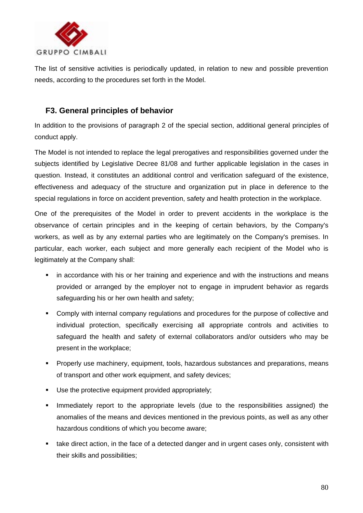

The list of sensitive activities is periodically updated, in relation to new and possible prevention needs, according to the procedures set forth in the Model.

## **F3. General principles of behavior**

In addition to the provisions of paragraph 2 of the special section, additional general principles of conduct apply.

The Model is not intended to replace the legal prerogatives and responsibilities governed under the subjects identified by Legislative Decree 81/08 and further applicable legislation in the cases in question. Instead, it constitutes an additional control and verification safeguard of the existence, effectiveness and adequacy of the structure and organization put in place in deference to the special regulations in force on accident prevention, safety and health protection in the workplace.

One of the prerequisites of the Model in order to prevent accidents in the workplace is the observance of certain principles and in the keeping of certain behaviors, by the Company's workers, as well as by any external parties who are legitimately on the Company's premises. In particular, each worker, each subject and more generally each recipient of the Model who is legitimately at the Company shall:

- **•** in accordance with his or her training and experience and with the instructions and means provided or arranged by the employer not to engage in imprudent behavior as regards safeguarding his or her own health and safety;
- Comply with internal company regulations and procedures for the purpose of collective and individual protection, specifically exercising all appropriate controls and activities to safeguard the health and safety of external collaborators and/or outsiders who may be present in the workplace;
- Properly use machinery, equipment, tools, hazardous substances and preparations, means of transport and other work equipment, and safety devices;
- Use the protective equipment provided appropriately;
- Immediately report to the appropriate levels (due to the responsibilities assigned) the anomalies of the means and devices mentioned in the previous points, as well as any other hazardous conditions of which you become aware;
- take direct action, in the face of a detected danger and in urgent cases only, consistent with their skills and possibilities;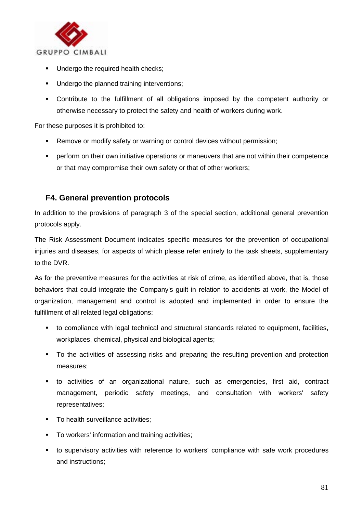

- Undergo the required health checks;
- Undergo the planned training interventions:
- Contribute to the fulfillment of all obligations imposed by the competent authority or otherwise necessary to protect the safety and health of workers during work.

For these purposes it is prohibited to:

- Remove or modify safety or warning or control devices without permission;
- **•** perform on their own initiative operations or maneuvers that are not within their competence or that may compromise their own safety or that of other workers;

## **F4. General prevention protocols**

In addition to the provisions of paragraph 3 of the special section, additional general prevention protocols apply.

The Risk Assessment Document indicates specific measures for the prevention of occupational injuries and diseases, for aspects of which please refer entirely to the task sheets, supplementary to the DVR.

As for the preventive measures for the activities at risk of crime, as identified above, that is, those behaviors that could integrate the Company's guilt in relation to accidents at work, the Model of organization, management and control is adopted and implemented in order to ensure the fulfillment of all related legal obligations:

- to compliance with legal technical and structural standards related to equipment, facilities, workplaces, chemical, physical and biological agents;
- **•** To the activities of assessing risks and preparing the resulting prevention and protection measures;
- to activities of an organizational nature, such as emergencies, first aid, contract management, periodic safety meetings, and consultation with workers' safety representatives;
- To health surveillance activities;
- To workers' information and training activities;
- to supervisory activities with reference to workers' compliance with safe work procedures and instructions;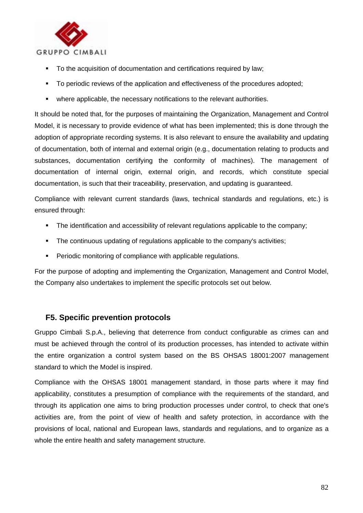

- To the acquisition of documentation and certifications required by law;
- To periodic reviews of the application and effectiveness of the procedures adopted;
- where applicable, the necessary notifications to the relevant authorities.

It should be noted that, for the purposes of maintaining the Organization, Management and Control Model, it is necessary to provide evidence of what has been implemented; this is done through the adoption of appropriate recording systems. It is also relevant to ensure the availability and updating of documentation, both of internal and external origin (e.g., documentation relating to products and substances, documentation certifying the conformity of machines). The management of documentation of internal origin, external origin, and records, which constitute special documentation, is such that their traceability, preservation, and updating is guaranteed.

Compliance with relevant current standards (laws, technical standards and regulations, etc.) is ensured through:

- The identification and accessibility of relevant regulations applicable to the company;
- The continuous updating of regulations applicable to the company's activities;
- **•** Periodic monitoring of compliance with applicable regulations.

For the purpose of adopting and implementing the Organization, Management and Control Model, the Company also undertakes to implement the specific protocols set out below.

## **F5. Specific prevention protocols**

Gruppo Cimbali S.p.A., believing that deterrence from conduct configurable as crimes can and must be achieved through the control of its production processes, has intended to activate within the entire organization a control system based on the BS OHSAS 18001:2007 management standard to which the Model is inspired.

Compliance with the OHSAS 18001 management standard, in those parts where it may find applicability, constitutes a presumption of compliance with the requirements of the standard, and through its application one aims to bring production processes under control, to check that one's activities are, from the point of view of health and safety protection, in accordance with the provisions of local, national and European laws, standards and regulations, and to organize as a whole the entire health and safety management structure.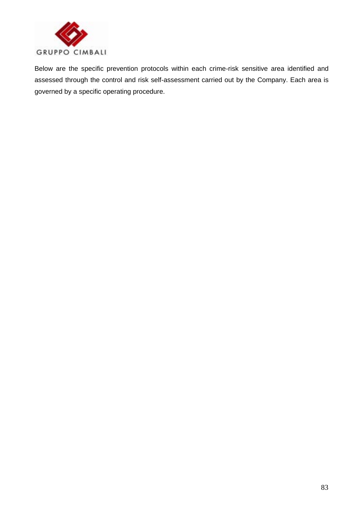

Below are the specific prevention protocols within each crime-risk sensitive area identified and assessed through the control and risk self-assessment carried out by the Company. Each area is governed by a specific operating procedure.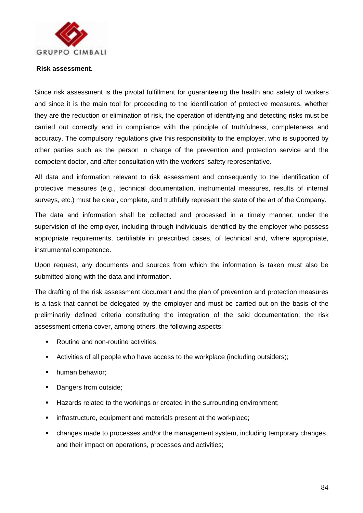

#### **Risk assessment***.*

Since risk assessment is the pivotal fulfillment for guaranteeing the health and safety of workers and since it is the main tool for proceeding to the identification of protective measures, whether they are the reduction or elimination of risk, the operation of identifying and detecting risks must be carried out correctly and in compliance with the principle of truthfulness, completeness and accuracy. The compulsory regulations give this responsibility to the employer, who is supported by other parties such as the person in charge of the prevention and protection service and the competent doctor, and after consultation with the workers' safety representative.

All data and information relevant to risk assessment and consequently to the identification of protective measures (e.g., technical documentation, instrumental measures, results of internal surveys, etc.) must be clear, complete, and truthfully represent the state of the art of the Company.

The data and information shall be collected and processed in a timely manner, under the supervision of the employer, including through individuals identified by the employer who possess appropriate requirements, certifiable in prescribed cases, of technical and, where appropriate, instrumental competence.

Upon request, any documents and sources from which the information is taken must also be submitted along with the data and information.

The drafting of the risk assessment document and the plan of prevention and protection measures is a task that cannot be delegated by the employer and must be carried out on the basis of the preliminarily defined criteria constituting the integration of the said documentation; the risk assessment criteria cover, among others, the following aspects:

- Routine and non-routine activities;
- Activities of all people who have access to the workplace (including outsiders);
- **■** human behavior;
- Dangers from outside;
- **EXED Hazards related to the workings or created in the surrounding environment;**
- **·** infrastructure, equipment and materials present at the workplace;
- changes made to processes and/or the management system, including temporary changes, and their impact on operations, processes and activities;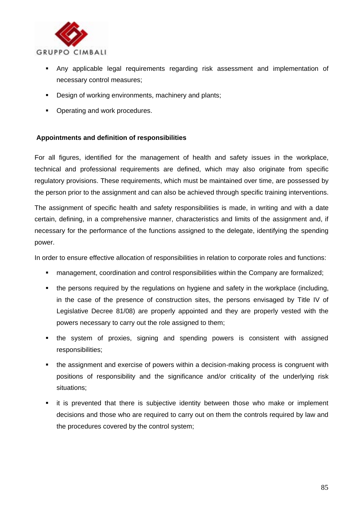

- Any applicable legal requirements regarding risk assessment and implementation of necessary control measures;
- **Design of working environments, machinery and plants;**
- Operating and work procedures.

## **Appointments and definition of responsibilities**

For all figures, identified for the management of health and safety issues in the workplace, technical and professional requirements are defined, which may also originate from specific regulatory provisions. These requirements, which must be maintained over time, are possessed by the person prior to the assignment and can also be achieved through specific training interventions.

The assignment of specific health and safety responsibilities is made, in writing and with a date certain, defining, in a comprehensive manner, characteristics and limits of the assignment and, if necessary for the performance of the functions assigned to the delegate, identifying the spending power.

In order to ensure effective allocation of responsibilities in relation to corporate roles and functions:

- management, coordination and control responsibilities within the Company are formalized;
- the persons required by the regulations on hygiene and safety in the workplace (including, in the case of the presence of construction sites, the persons envisaged by Title IV of Legislative Decree 81/08) are properly appointed and they are properly vested with the powers necessary to carry out the role assigned to them;
- the system of proxies, signing and spending powers is consistent with assigned responsibilities;
- the assignment and exercise of powers within a decision-making process is congruent with positions of responsibility and the significance and/or criticality of the underlying risk situations;
- **.** it is prevented that there is subjective identity between those who make or implement decisions and those who are required to carry out on them the controls required by law and the procedures covered by the control system;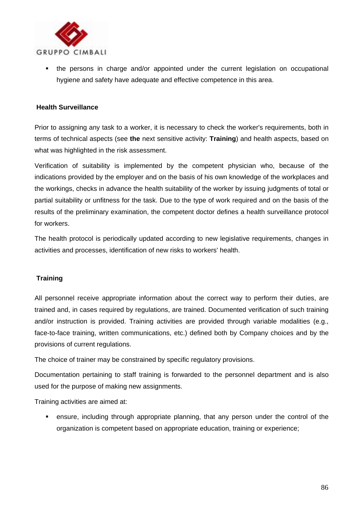

**•** the persons in charge and/or appointed under the current legislation on occupational hygiene and safety have adequate and effective competence in this area.

#### **Health Surveillance**

Prior to assigning any task to a worker, it is necessary to check the worker's requirements, both in terms of technical aspects (see **the** next sensitive activity: **Training**) and health aspects, based on what was highlighted in the risk assessment.

Verification of suitability is implemented by the competent physician who, because of the indications provided by the employer and on the basis of his own knowledge of the workplaces and the workings, checks in advance the health suitability of the worker by issuing judgments of total or partial suitability or unfitness for the task. Due to the type of work required and on the basis of the results of the preliminary examination, the competent doctor defines a health surveillance protocol for workers.

The health protocol is periodically updated according to new legislative requirements, changes in activities and processes, identification of new risks to workers' health.

#### **Training**

All personnel receive appropriate information about the correct way to perform their duties, are trained and, in cases required by regulations, are trained. Documented verification of such training and/or instruction is provided. Training activities are provided through variable modalities (e.g., face-to-face training, written communications, etc.) defined both by Company choices and by the provisions of current regulations.

The choice of trainer may be constrained by specific regulatory provisions.

Documentation pertaining to staff training is forwarded to the personnel department and is also used for the purpose of making new assignments.

Training activities are aimed at:

▪ ensure, including through appropriate planning, that any person under the control of the organization is competent based on appropriate education, training or experience;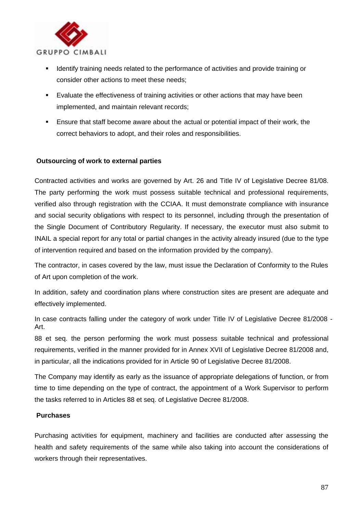

- Identify training needs related to the performance of activities and provide training or consider other actions to meet these needs;
- **Exaluate the effectiveness of training activities or other actions that may have been** implemented, and maintain relevant records;
- Ensure that staff become aware about the actual or potential impact of their work, the correct behaviors to adopt, and their roles and responsibilities.

#### **Outsourcing of work to external parties**

Contracted activities and works are governed by Art. 26 and Title IV of Legislative Decree 81/08. The party performing the work must possess suitable technical and professional requirements, verified also through registration with the CCIAA. It must demonstrate compliance with insurance and social security obligations with respect to its personnel, including through the presentation of the Single Document of Contributory Regularity. If necessary, the executor must also submit to INAIL a special report for any total or partial changes in the activity already insured (due to the type of intervention required and based on the information provided by the company).

The contractor, in cases covered by the law, must issue the Declaration of Conformity to the Rules of Art upon completion of the work.

In addition, safety and coordination plans where construction sites are present are adequate and effectively implemented.

In case contracts falling under the category of work under Title IV of Legislative Decree 81/2008 -Art.

88 et seq. the person performing the work must possess suitable technical and professional requirements, verified in the manner provided for in Annex XVII of Legislative Decree 81/2008 and, in particular, all the indications provided for in Article 90 of Legislative Decree 81/2008.

The Company may identify as early as the issuance of appropriate delegations of function, or from time to time depending on the type of contract, the appointment of a Work Supervisor to perform the tasks referred to in Articles 88 et seq. of Legislative Decree 81/2008.

#### **Purchases**

Purchasing activities for equipment, machinery and facilities are conducted after assessing the health and safety requirements of the same while also taking into account the considerations of workers through their representatives.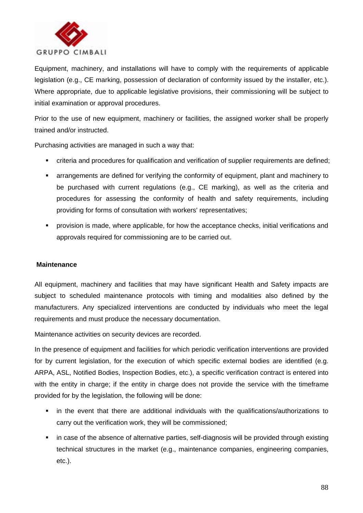

Equipment, machinery, and installations will have to comply with the requirements of applicable legislation (e.g., CE marking, possession of declaration of conformity issued by the installer, etc.). Where appropriate, due to applicable legislative provisions, their commissioning will be subject to initial examination or approval procedures.

Prior to the use of new equipment, machinery or facilities, the assigned worker shall be properly trained and/or instructed.

Purchasing activities are managed in such a way that:

- criteria and procedures for qualification and verification of supplier requirements are defined;
- **EXED** arrangements are defined for verifying the conformity of equipment, plant and machinery to be purchased with current regulations (e.g., CE marking), as well as the criteria and procedures for assessing the conformity of health and safety requirements, including providing for forms of consultation with workers' representatives;
- provision is made, where applicable, for how the acceptance checks, initial verifications and approvals required for commissioning are to be carried out.

#### **Maintenance**

All equipment, machinery and facilities that may have significant Health and Safety impacts are subject to scheduled maintenance protocols with timing and modalities also defined by the manufacturers. Any specialized interventions are conducted by individuals who meet the legal requirements and must produce the necessary documentation.

Maintenance activities on security devices are recorded.

In the presence of equipment and facilities for which periodic verification interventions are provided for by current legislation, for the execution of which specific external bodies are identified (e.g. ARPA, ASL, Notified Bodies, Inspection Bodies, etc.), a specific verification contract is entered into with the entity in charge; if the entity in charge does not provide the service with the timeframe provided for by the legislation, the following will be done:

- in the event that there are additional individuals with the qualifications/authorizations to carry out the verification work, they will be commissioned;
- in case of the absence of alternative parties, self-diagnosis will be provided through existing technical structures in the market (e.g., maintenance companies, engineering companies, etc.).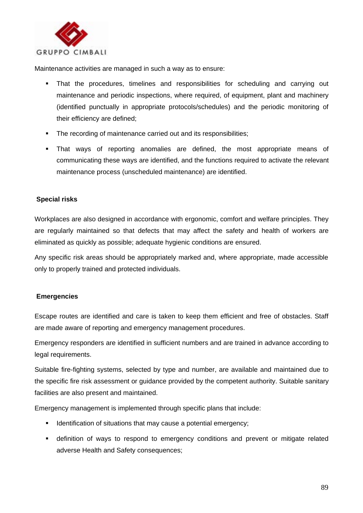

Maintenance activities are managed in such a way as to ensure:

- That the procedures, timelines and responsibilities for scheduling and carrying out maintenance and periodic inspections, where required, of equipment, plant and machinery (identified punctually in appropriate protocols/schedules) and the periodic monitoring of their efficiency are defined;
- **•** The recording of maintenance carried out and its responsibilities;
- That ways of reporting anomalies are defined, the most appropriate means of communicating these ways are identified, and the functions required to activate the relevant maintenance process (unscheduled maintenance) are identified.

#### **Special risks**

Workplaces are also designed in accordance with ergonomic, comfort and welfare principles. They are regularly maintained so that defects that may affect the safety and health of workers are eliminated as quickly as possible; adequate hygienic conditions are ensured.

Any specific risk areas should be appropriately marked and, where appropriate, made accessible only to properly trained and protected individuals.

#### **Emergencies**

Escape routes are identified and care is taken to keep them efficient and free of obstacles. Staff are made aware of reporting and emergency management procedures.

Emergency responders are identified in sufficient numbers and are trained in advance according to legal requirements.

Suitable fire-fighting systems, selected by type and number, are available and maintained due to the specific fire risk assessment or guidance provided by the competent authority. Suitable sanitary facilities are also present and maintained.

Emergency management is implemented through specific plans that include:

- **E** Identification of situations that may cause a potential emergency;
- **EXECT** definition of ways to respond to emergency conditions and prevent or mitigate related adverse Health and Safety consequences;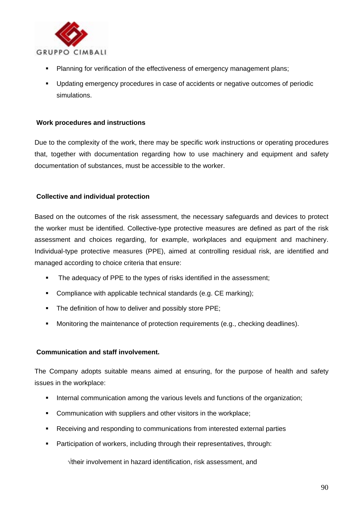

- **Planning for verification of the effectiveness of emergency management plans;**
- Updating emergency procedures in case of accidents or negative outcomes of periodic simulations.

#### **Work procedures and instructions**

Due to the complexity of the work, there may be specific work instructions or operating procedures that, together with documentation regarding how to use machinery and equipment and safety documentation of substances, must be accessible to the worker.

#### **Collective and individual protection**

Based on the outcomes of the risk assessment, the necessary safeguards and devices to protect the worker must be identified. Collective-type protective measures are defined as part of the risk assessment and choices regarding, for example, workplaces and equipment and machinery. Individual-type protective measures (PPE), aimed at controlling residual risk, are identified and managed according to choice criteria that ensure:

- The adequacy of PPE to the types of risks identified in the assessment;
- Compliance with applicable technical standards (e.g. CE marking);
- The definition of how to deliver and possibly store PPE;
- Monitoring the maintenance of protection requirements (e.g., checking deadlines).

## **Communication and staff involvement.**

The Company adopts suitable means aimed at ensuring, for the purpose of health and safety issues in the workplace:

- Internal communication among the various levels and functions of the organization;
- Communication with suppliers and other visitors in the workplace;
- Receiving and responding to communications from interested external parties
- **•** Participation of workers, including through their representatives, through:

√their involvement in hazard identification, risk assessment, and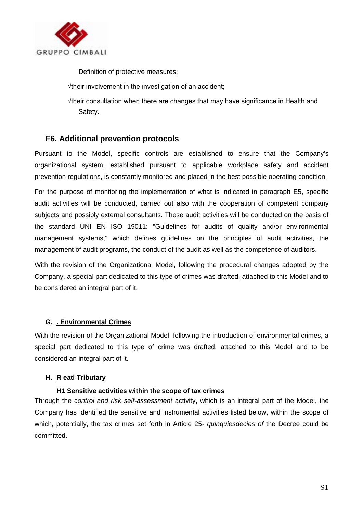

Definition of protective measures;

√their involvement in the investigation of an accident;

√their consultation when there are changes that may have significance in Health and Safety.

## **F6. Additional prevention protocols**

Pursuant to the Model, specific controls are established to ensure that the Company's organizational system, established pursuant to applicable workplace safety and accident prevention regulations, is constantly monitored and placed in the best possible operating condition.

For the purpose of monitoring the implementation of what is indicated in paragraph E5, specific audit activities will be conducted, carried out also with the cooperation of competent company subjects and possibly external consultants. These audit activities will be conducted on the basis of the standard UNI EN ISO 19011: "Guidelines for audits of quality and/or environmental management systems," which defines guidelines on the principles of audit activities, the management of audit programs, the conduct of the audit as well as the competence of auditors.

With the revision of the Organizational Model, following the procedural changes adopted by the Company, a special part dedicated to this type of crimes was drafted, attached to this Model and to be considered an integral part of it.

## **G. . Environmental Crimes**

With the revision of the Organizational Model, following the introduction of environmental crimes, a special part dedicated to this type of crime was drafted, attached to this Model and to be considered an integral part of it.

#### **H. R eati Tributary**

#### **H1 Sensitive activities within the scope of tax crimes**

Through the *control and risk self-assessment* activity, which is an integral part of the Model, the Company has identified the sensitive and instrumental activities listed below, within the scope of which, potentially, the tax crimes set forth in Article 25- *quinquiesdecies of* the Decree could be committed.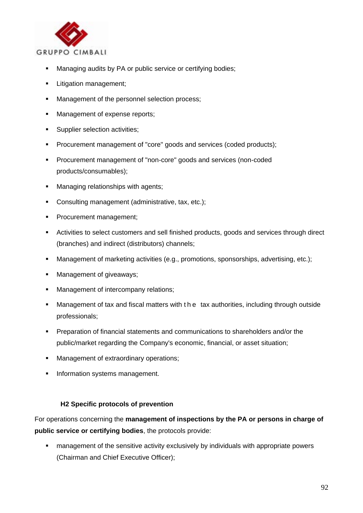

- Managing audits by PA or public service or certifying bodies;
- **•** Litigation management:
- Management of the personnel selection process;
- Management of expense reports;
- **EXECUTE:** Supplier selection activities;
- **•** Procurement management of "core" goods and services (coded products);
- Procurement management of "non-core" goods and services (non-coded products/consumables);
- Managing relationships with agents;
- Consulting management (administrative, tax, etc.);
- **•** Procurement management:
- **EXECT** Activities to select customers and sell finished products, goods and services through direct (branches) and indirect (distributors) channels;
- Management of marketing activities (e.g., promotions, sponsorships, advertising, etc.);
- Management of giveaways;
- Management of intercompany relations;
- Management of tax and fiscal matters with t h e tax authorities, including through outside professionals;
- Preparation of financial statements and communications to shareholders and/or the public/market regarding the Company's economic, financial, or asset situation;
- Management of extraordinary operations;
- **■** Information systems management.

## **H2 Specific protocols of prevention**

For operations concerning the **management of inspections by the PA or persons in charge of public service or certifying bodies**, the protocols provide:

■ management of the sensitive activity exclusively by individuals with appropriate powers (Chairman and Chief Executive Officer);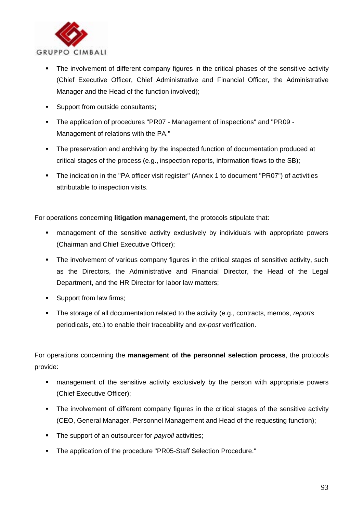

- The involvement of different company figures in the critical phases of the sensitive activity (Chief Executive Officer, Chief Administrative and Financial Officer, the Administrative Manager and the Head of the function involved);
- Support from outside consultants;
- The application of procedures "PR07 Management of inspections" and "PR09 Management of relations with the PA."
- **•** The preservation and archiving by the inspected function of documentation produced at critical stages of the process (e.g., inspection reports, information flows to the SB);
- The indication in the "PA officer visit register" (Annex 1 to document "PR07") of activities attributable to inspection visits.

For operations concerning **litigation management**, the protocols stipulate that:

- management of the sensitive activity exclusively by individuals with appropriate powers (Chairman and Chief Executive Officer);
- **•** The involvement of various company figures in the critical stages of sensitive activity, such as the Directors, the Administrative and Financial Director, the Head of the Legal Department, and the HR Director for labor law matters;
- Support from law firms:
- The storage of all documentation related to the activity (e.g., contracts, memos, *reports* periodicals, etc.) to enable their traceability and *ex-post* verification.

For operations concerning the **management of the personnel selection process**, the protocols provide:

- **EXED** management of the sensitive activity exclusively by the person with appropriate powers (Chief Executive Officer);
- **•** The involvement of different company figures in the critical stages of the sensitive activity (CEO, General Manager, Personnel Management and Head of the requesting function);
- The support of an outsourcer for *payroll* activities;
- The application of the procedure "PR05-Staff Selection Procedure."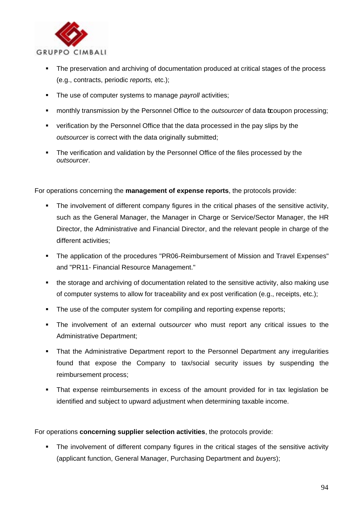

- **•** The preservation and archiving of documentation produced at critical stages of the process (e.g., contracts, periodic *reports,* etc.);
- The use of computer systems to manage *payroll* activities;
- **■** monthly transmission by the Personnel Office to the *outsourcer* of data for coupon processing;
- **•** verification by the Personnel Office that the data processed in the pay slips by the *outsourcer* is correct with the data originally submitted;
- **•** The verification and validation by the Personnel Office of the files processed by the *outsourcer*.

For operations concerning the **management of expense reports**, the protocols provide:

- **•** The involvement of different company figures in the critical phases of the sensitive activity, such as the General Manager, the Manager in Charge or Service/Sector Manager, the HR Director, the Administrative and Financial Director, and the relevant people in charge of the different activities;
- The application of the procedures "PR06-Reimbursement of Mission and Travel Expenses" and "PR11- Financial Resource Management."
- the storage and archiving of documentation related to the sensitive activity, also making use of computer systems to allow for traceability and ex post verification (e.g., receipts, etc.);
- **•** The use of the computer system for compiling and reporting expense reports;
- The involvement of an external outs*ourcer* who must report any critical issues to the Administrative Department;
- **That the Administrative Department report to the Personnel Department any irregularities** found that expose the Company to tax/social security issues by suspending the reimbursement process;
- That expense reimbursements in excess of the amount provided for in tax legislation be identified and subject to upward adjustment when determining taxable income.

For operations **concerning supplier selection activities**, the protocols provide:

**•** The involvement of different company figures in the critical stages of the sensitive activity (applicant function, General Manager, Purchasing Department and *buyers*);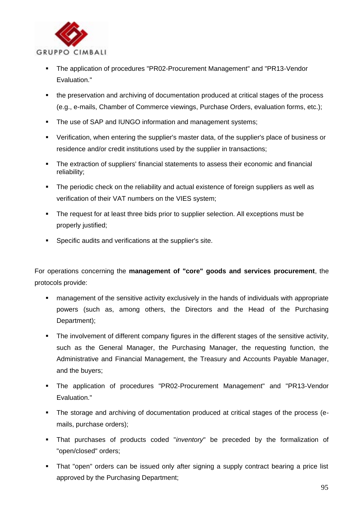

- The application of procedures "PR02-Procurement Management" and "PR13-Vendor Evaluation."
- the preservation and archiving of documentation produced at critical stages of the process (e.g., e-mails, Chamber of Commerce viewings, Purchase Orders, evaluation forms, etc.);
- The use of SAP and IUNGO information and management systems;
- Verification, when entering the supplier's master data, of the supplier's place of business or residence and/or credit institutions used by the supplier in transactions;
- **•** The extraction of suppliers' financial statements to assess their economic and financial reliability;
- **•** The periodic check on the reliability and actual existence of foreign suppliers as well as verification of their VAT numbers on the VIES system;
- **•** The request for at least three bids prior to supplier selection. All exceptions must be properly justified;
- Specific audits and verifications at the supplier's site.

For operations concerning the **management of "core" goods and services procurement**, the protocols provide:

- management of the sensitive activity exclusively in the hands of individuals with appropriate powers (such as, among others, the Directors and the Head of the Purchasing Department);
- **•** The involvement of different company figures in the different stages of the sensitive activity, such as the General Manager, the Purchasing Manager, the requesting function, the Administrative and Financial Management, the Treasury and Accounts Payable Manager, and the buyers;
- The application of procedures "PR02-Procurement Management" and "PR13-Vendor Evaluation."
- The storage and archiving of documentation produced at critical stages of the process (emails, purchase orders);
- That purchases of products coded "*inventory*" be preceded by the formalization of "open/closed" orders;
- **•** That "open" orders can be issued only after signing a supply contract bearing a price list approved by the Purchasing Department;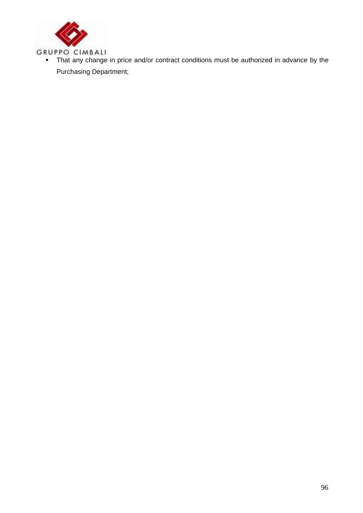

▪ That any change in price and/or contract conditions must be authorized in advance by the Purchasing Department;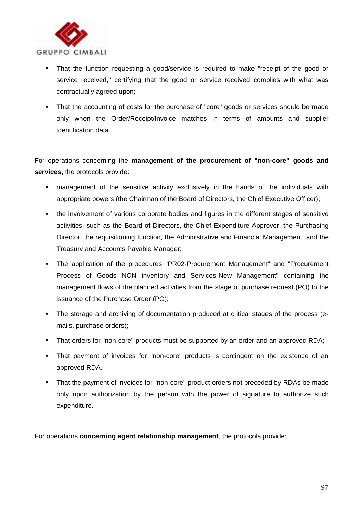

- **That the function requesting a good/service is required to make "receipt of the good or** service received," certifying that the good or service received complies with what was contractually agreed upon;
- That the accounting of costs for the purchase of "core" goods or services should be made only when the Order/Receipt/Invoice matches in terms of amounts and supplier identification data.

For operations concerning the **management of the procurement of "non-core" goods and services**, the protocols provide:

- **EXT** management of the sensitive activity exclusively in the hands of the individuals with appropriate powers (the Chairman of the Board of Directors, the Chief Executive Officer);
- **.** the involvement of various corporate bodies and figures in the different stages of sensitive activities, such as the Board of Directors, the Chief Expenditure Approver, the Purchasing Director, the requisitioning function, the Administrative and Financial Management, and the Treasury and Accounts Payable Manager;
- The application of the procedures "PR02-Procurement Management" and "Procurement Process of Goods NON inventory and Services-New Management" containing the management flows of the planned activities from the stage of purchase request (PO) to the issuance of the Purchase Order (PO);
- The storage and archiving of documentation produced at critical stages of the process (emails, purchase orders);
- That orders for "non-core" products must be supported by an order and an approved RDA;
- **That payment of invoices for "non-core" products is contingent on the existence of an** approved RDA.
- That the payment of invoices for "non-core" product orders not preceded by RDAs be made only upon authorization by the person with the power of signature to authorize such expenditure.

For operations **concerning agent relationship management**, the protocols provide: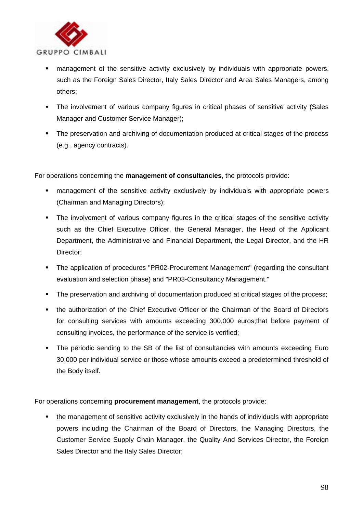

- **EXED** management of the sensitive activity exclusively by individuals with appropriate powers, such as the Foreign Sales Director, Italy Sales Director and Area Sales Managers, among others;
- **•** The involvement of various company figures in critical phases of sensitive activity (Sales Manager and Customer Service Manager);
- **•** The preservation and archiving of documentation produced at critical stages of the process (e.g., agency contracts).

For operations concerning the **management of consultancies**, the protocols provide:

- management of the sensitive activity exclusively by individuals with appropriate powers (Chairman and Managing Directors);
- **•** The involvement of various company figures in the critical stages of the sensitive activity such as the Chief Executive Officer, the General Manager, the Head of the Applicant Department, the Administrative and Financial Department, the Legal Director, and the HR Director;
- The application of procedures "PR02-Procurement Management" (regarding the consultant evaluation and selection phase) and "PR03-Consultancy Management."
- The preservation and archiving of documentation produced at critical stages of the process:
- the authorization of the Chief Executive Officer or the Chairman of the Board of Directors for consulting services with amounts exceeding 300,000 euros;that before payment of consulting invoices, the performance of the service is verified;
- The periodic sending to the SB of the list of consultancies with amounts exceeding Euro 30,000 per individual service or those whose amounts exceed a predetermined threshold of the Body itself.

For operations concerning **procurement management**, the protocols provide:

the management of sensitive activity exclusively in the hands of individuals with appropriate powers including the Chairman of the Board of Directors, the Managing Directors, the Customer Service Supply Chain Manager, the Quality And Services Director, the Foreign Sales Director and the Italy Sales Director;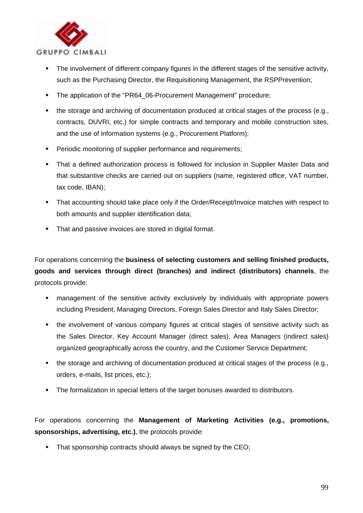

- **•** The involvement of different company figures in the different stages of the sensitive activity, such as the Purchasing Director, the Requisitioning Management, the RSPPrevention;
- **•** The application of the "PR64\_06-Procurement Management" procedure;
- the storage and archiving of documentation produced at critical stages of the process (e.g., contracts, DUVRI, etc.) for simple contracts and temporary and mobile construction sites, and the use of information systems (e.g., Procurement Platform);
- Periodic monitoring of supplier performance and requirements;
- **•** That a defined authorization process is followed for inclusion in Supplier Master Data and that substantive checks are carried out on suppliers (name, registered office, VAT number, tax code, IBAN);
- **·** That accounting should take place only if the Order/Receipt/Invoice matches with respect to both amounts and supplier identification data;
- **That and passive invoices are stored in digital format.**

For operations concerning the **business of selecting customers and selling finished products, goods and services through direct (branches) and indirect (distributors) channels**, the protocols provide:

- management of the sensitive activity exclusively by individuals with appropriate powers including President, Managing Directors, Foreign Sales Director and Italy Sales Director;
- the involvement of various company figures at critical stages of sensitive activity such as the Sales Director, Key Account Manager (direct sales), Area Managers (indirect sales) organized geographically across the country, and the Customer Service Department;
- the storage and archiving of documentation produced at critical stages of the process (e.g., orders, e-mails, list prices, etc.);
- The formalization in special letters of the target bonuses awarded to distributors.

For operations concerning the **Management of Marketing Activities (e.g., promotions, sponsorships, advertising, etc.)**, the protocols provide:

That sponsorship contracts should always be signed by the CEO;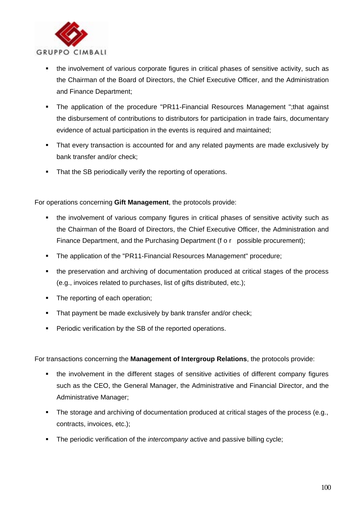

- the involvement of various corporate figures in critical phases of sensitive activity, such as the Chairman of the Board of Directors, the Chief Executive Officer, and the Administration and Finance Department;
- The application of the procedure "PR11-Financial Resources Management ";that against the disbursement of contributions to distributors for participation in trade fairs, documentary evidence of actual participation in the events is required and maintained;
- That every transaction is accounted for and any related payments are made exclusively by bank transfer and/or check;
- That the SB periodically verify the reporting of operations.

For operations concerning **Gift Management**, the protocols provide:

- the involvement of various company figures in critical phases of sensitive activity such as the Chairman of the Board of Directors, the Chief Executive Officer, the Administration and Finance Department, and the Purchasing Department (f o r possible procurement);
- **•** The application of the "PR11-Financial Resources Management" procedure;
- the preservation and archiving of documentation produced at critical stages of the process (e.g., invoices related to purchases, list of gifts distributed, etc.);
- The reporting of each operation;
- **·** That payment be made exclusively by bank transfer and/or check;
- Periodic verification by the SB of the reported operations.

For transactions concerning the **Management of Intergroup Relations**, the protocols provide:

- **.** the involvement in the different stages of sensitive activities of different company figures such as the CEO, the General Manager, the Administrative and Financial Director, and the Administrative Manager;
- The storage and archiving of documentation produced at critical stages of the process (e.g., contracts, invoices, etc.);
- The periodic verification of the *intercompany* active and passive billing cycle;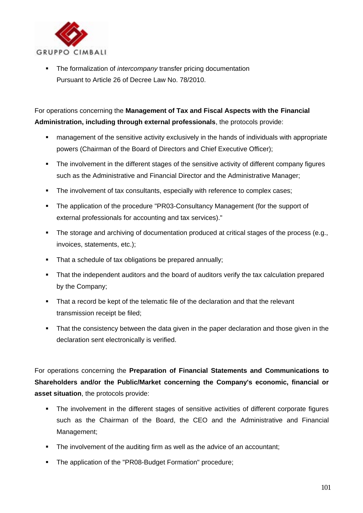

**E** The formalization of *intercompany* transfer pricing documentation Pursuant to Article 26 of Decree Law No. 78/2010.

## For operations concerning the **Management of Tax and Fiscal Aspects with the Financial Administration, including through external professionals**, the protocols provide:

- **•** management of the sensitive activity exclusively in the hands of individuals with appropriate powers (Chairman of the Board of Directors and Chief Executive Officer);
- **•** The involvement in the different stages of the sensitive activity of different company figures such as the Administrative and Financial Director and the Administrative Manager;
- The involvement of tax consultants, especially with reference to complex cases;
- The application of the procedure "PR03-Consultancy Management (for the support of external professionals for accounting and tax services)."
- **The storage and archiving of documentation produced at critical stages of the process (e.g.,** invoices, statements, etc.);
- That a schedule of tax obligations be prepared annually;
- **•** That the independent auditors and the board of auditors verify the tax calculation prepared by the Company;
- **.** That a record be kept of the telematic file of the declaration and that the relevant transmission receipt be filed;
- **That the consistency between the data given in the paper declaration and those given in the** declaration sent electronically is verified.

For operations concerning the **Preparation of Financial Statements and Communications to Shareholders and/or the Public/Market concerning the Company's economic, financial or asset situation**, the protocols provide:

- The involvement in the different stages of sensitive activities of different corporate figures such as the Chairman of the Board, the CEO and the Administrative and Financial Management;
- **•** The involvement of the auditing firm as well as the advice of an accountant;
- **•** The application of the "PR08-Budget Formation" procedure;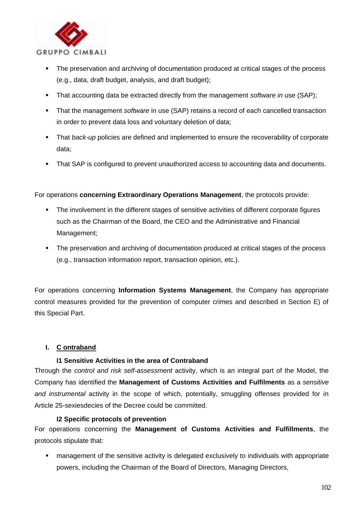

- **•** The preservation and archiving of documentation produced at critical stages of the process (e.g., data, draft budget, analysis, and draft budget);
- That accounting data be extracted directly from the management *software in* use (SAP);
- **•** That the management *software* in use (SAP) retains a record of each cancelled transaction in order to prevent data loss and voluntary deletion of data;
- That *back-up* policies are defined and implemented to ensure the recoverability of corporate data;
- **That SAP is configured to prevent unauthorized access to accounting data and documents.**

For operations **concerning Extraordinary Operations Management**, the protocols provide:

- **•** The involvement in the different stages of sensitive activities of different corporate figures such as the Chairman of the Board, the CEO and the Administrative and Financial Management;
- The preservation and archiving of documentation produced at critical stages of the process (e.g., transaction information report, transaction opinion, etc.).

For operations concerning **Information Systems Management**, the Company has appropriate control measures provided for the prevention of computer crimes and described in Section E) of this Special Part.

## **I. C ontraband**

## **I1 Sensitive Activities in the area of Contraband**

Through the *control and risk self-assessment* activity, which is an integral part of the Model, the Company has identified the **Management of Customs Activities and Fulfilments** as a *sensitive and instrumental* activity in the scope of which, potentially, smuggling offenses provided for in Article 25-sexiesdecies of the Decree could be committed.

## **I2 Specific protocols of prevention**

For operations concerning the **Management of Customs Activities and Fulfillments**, the protocols stipulate that:

■ management of the sensitive activity is delegated exclusively to individuals with appropriate powers, including the Chairman of the Board of Directors, Managing Directors,